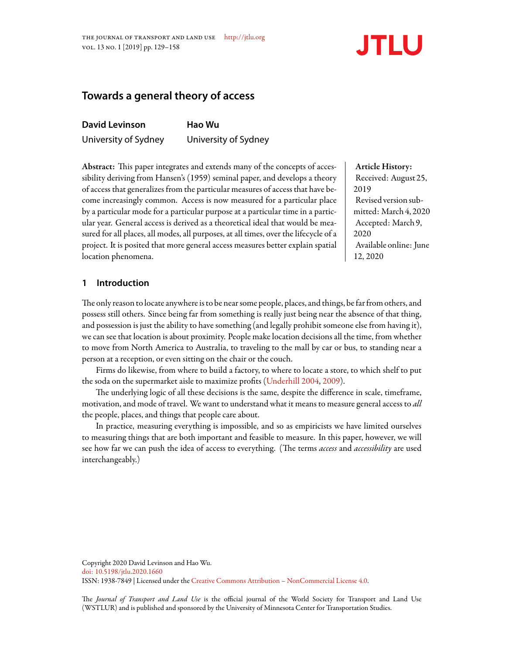

# **Towards a general theory of access**

| <b>David Levinson</b> | Hao Wu               |  |
|-----------------------|----------------------|--|
| University of Sydney  | University of Sydney |  |

Abstract: This paper integrates and extends many of the concepts of accessibility deriving from Hansen's (1959) seminal paper, and develops a theory of access that generalizes from the particular measures of access that have become increasingly common. Access is now measured for a particular place by a particular mode for a particular purpose at a particular time in a particular year. General access is derived as a theoretical ideal that would be measured for all places, all modes, all purposes, at all times, over the lifecycle of a project. It is posited that more general access measures better explain spatial location phenomena.

# Article History: Received: August 25, 2019 Revised version submitted: March 4, 2020 Accepted: March 9, 2020 Available online: June 12, 2020

# **1 Introduction**

The only reason to locate anywhere is to be near some people, places, and things, be far from others, and possess still others. Since being far from something is really just being near the absence of that thing, and possession is just the ability to have something (and legally prohibit someone else from having it), we can see that location is about proximity. People make location decisions all the time, from whether to move from North America to Australia, to traveling to the mall by car or bus, to standing near a person at a reception, or even sitting on the chair or the couch.

Firms do likewise, from where to build a factory, to where to locate a store, to which shelf to put the soda on the supermarket aisle to maximize profits [\(Underhill](#page-28-0) [2004](#page-28-0), [2009\)](#page-28-1).

The underlying logic of all these decisions is the same, despite the difference in scale, timeframe, motivation, and mode of travel. We want to understand what it means to measure general access to *all* the people, places, and things that people care about.

In practice, measuring everything is impossible, and so as empiricists we have limited ourselves to measuring things that are both important and feasible to measure. In this paper, however, we will see how far we can push the idea of access to everything. (The terms *access* and *accessibility* are used interchangeably.)

e *Journal of Transport and Land Use* is the official journal of the World Society for Transport and Land Use (WSTLUR) and is published and sponsored by the University of Minnesota Center for Transportation Studies.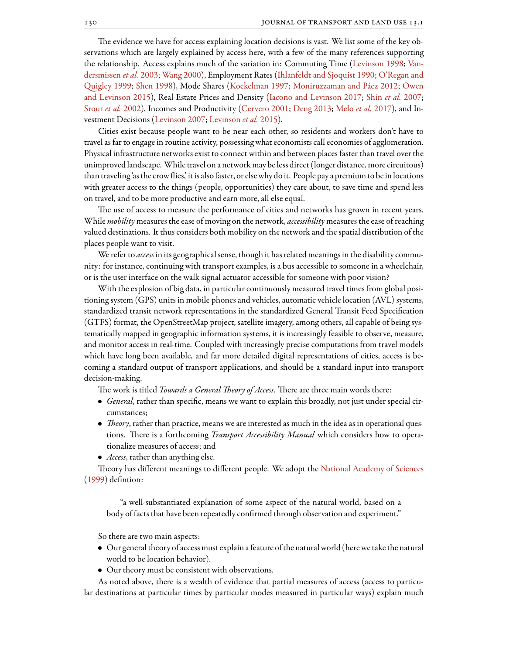The evidence we have for access explaining location decisions is vast. We list some of the key observations which are largely explained by access here, with a few of the many references supporting the relationship. Access explains much of the variation in: Commuting Time([Levinson](#page-26-0) [1998](#page-26-0); [Van](#page-29-0)[dersmissen](#page-29-0) *et al.* [2003](#page-29-0); [Wang](#page-29-1) [2000](#page-29-1)), Employment Rates([Ihlanfeldt and Sjoquist](#page-26-1) [1990](#page-26-1); [O'Regan and](#page-27-0) [uigley](#page-27-0) [1999](#page-27-0); [Shen](#page-28-2) [1998](#page-28-2)), Mode Shares [\(Kockelman](#page-26-2) [1997](#page-26-2); [Moniruzzaman and Páez](#page-27-1) [2012;](#page-27-1) [Owen](#page-27-2) [and Levinson](#page-27-2) [2015](#page-27-2)), Real Estate Prices and Density([Iacono and Levinson](#page-26-3) [2017;](#page-26-3) Shin *[et al.](#page-28-3)* [2007](#page-28-3); [Srour](#page-28-4) *et al.* [2002\)](#page-28-4), Incomes and Productivity [\(Cervero](#page-24-0) [2001;](#page-24-0) [Deng](#page-24-1) [2013](#page-24-1); [Melo](#page-27-3) *et al.* [2017](#page-27-3)), and Investment Decisions [\(Levinson](#page-26-4) [2007;](#page-26-4) [Levinson](#page-26-5) *et al.* [2015](#page-26-5)).

Cities exist because people want to be near each other, so residents and workers don't have to travel as far to engage in routine activity, possessing what economists call economies of agglomeration. Physical infrastructure networks exist to connect within and between places faster than travel over the unimproved landscape. While travel on a network may be less direct (longer distance, more circuitous) than traveling 'as the crow flies,' it is alsofaster, or else why do it. People pay a premium to be in locations with greater access to the things (people, opportunities) they care about, to save time and spend less on travel, and to be more productive and earn more, all else equal.

The use of access to measure the performance of cities and networks has grown in recent years. While *mobility* measures the ease of moving on the network, *accessibility* measures the ease of reaching valued destinations. It thus considers both mobility on the network and the spatial distribution of the places people want to visit.

We refer to *access* in its geographical sense, though it has related meanings in the disability community: for instance, continuing with transport examples, is a bus accessible to someone in a wheelchair, or is the user interface on the walk signal actuator accessible for someone with poor vision?

With the explosion of big data, in particular continuously measured travel times from global positioning system (GPS) units in mobile phones and vehicles, automatic vehicle location (AVL) systems, standardized transit network representations in the standardized General Transit Feed Specification (GTFS) format, the OpenStreetMap project, satellite imagery, among others, all capable of being systematically mapped in geographic information systems, it is increasingly feasible to observe, measure, and monitor access in real-time. Coupled with increasingly precise computations from travel models which have long been available, and far more detailed digital representations of cities, access is becoming a standard output of transport applications, and should be a standard input into transport decision-making.

The work is titled *Towards a General Theory of Access*. There are three main words there:

- *• General*, rather than specific, means we want to explain this broadly, not just under special circumstances;
- *Theory*, rather than practice, means we are interested as much in the idea as in operational questions. There is a forthcoming *Transport Accessibility Manual* which considers how to operationalize measures of access; and
- *• Access*, rather than anything else.

Theory has different meanings to different people. We adopt the [National Academy of Sciences](#page-27-4) [\(1999\)](#page-27-4) defintion:

"a well-substantiated explanation of some aspect of the natural world, based on a body of facts that have been repeatedly confirmed through observation and experiment."

So there are two main aspects:

- *•* Our general theory of access must explain afeature of the natural world (here we take the natural world to be location behavior).
- *•* Our theory must be consistent with observations.

As noted above, there is a wealth of evidence that partial measures of access (access to particular destinations at particular times by particular modes measured in particular ways) explain much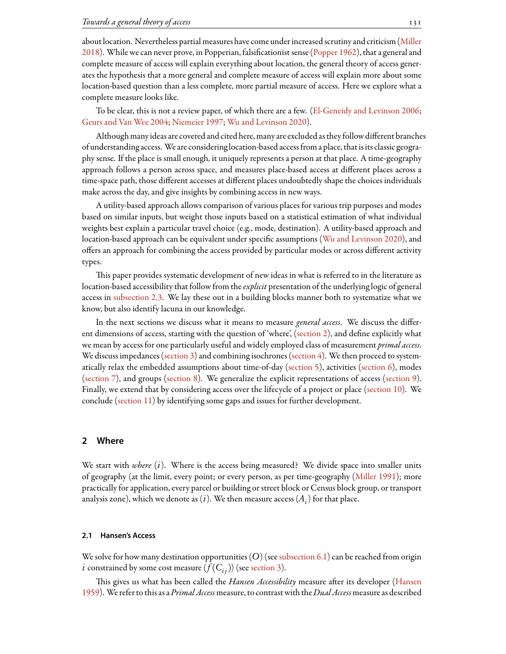about location. Nevertheless partial measures have come under increased scrutiny and criticism([Miller](#page-27-5) [2018](#page-27-5)). While we can never prove, in Popperian, falsificationist sense [\(Popper](#page-28-5) [1962\)](#page-28-5), that a general and complete measure of access will explain everything about location, the general theory of access generates the hypothesis that a more general and complete measure of access will explain more about some location-based question than a less complete, more partial measure of access. Here we explore what a complete measure looks like.

To be clear, this is not a review paper, of which there are a few.([El-Geneidy and Levinson](#page-25-0) [2006;](#page-25-0) [Geurs and Van Wee](#page-25-1) [2004](#page-25-1); [Niemeier](#page-27-6) [1997](#page-27-6); [Wu and Levinson](#page-29-2) [2020](#page-29-2)).

Although many ideas are covered and cited here, many are excluded as theyfollow different branches of understanding access. We are considering location-based accessfrom a place, that is its classic geography sense. If the place is small enough, it uniquely represents a person at that place. A time-geography approach follows a person across space, and measures place-based access at different places across a time-space path, those different accesses at different places undoubtedly shape the choices individuals make across the day, and give insights by combining access in new ways.

A utility-based approach allows comparison of various places for various trip purposes and modes based on similar inputs, but weight those inputs based on a statistical estimation of what individual weights best explain a particular travel choice (e.g., mode, destination). A utility-based approach and location-based approach can be equivalent under specific assumptions [\(Wu and Levinson](#page-29-2) [2020\)](#page-29-2), and offers an approach for combining the access provided by particular modes or across different activity types.

This paper provides systematic development of new ideas in what is referred to in the literature as location-based accessibility that follow from the*explicit* presentation of the underlying logic of general access in [subsection 2.3](#page-3-0). We lay these out in a building blocks manner both to systematize what we know, but also identify lacuna in our knowledge.

In the next sections we discuss what it means to measure *general access*. We discuss the different dimensions of access, starting with the question of 'where', [\(section 2](#page-2-0)), and define explicitly what we mean by access for one particularly useful and widely employed class of measurement *primal access*. Wediscuss impedances ([section 3](#page-4-0)) and combining isochrones [\(section 4\)](#page-7-0). We then proceed to systematically relax the embedded assumptions about time-of-day [\(section 5](#page-10-0)), activities [\(section 6\)](#page-11-0), modes ([section 7](#page-16-0)), and groups([section 8](#page-18-0)). We generalize the explicit representations of access([section 9](#page-19-0)). Finally, we extend that by considering access over the lifecycle of a project or place [\(section 10\)](#page-19-1). We conclude [\(section 11](#page-20-0)) by identifying some gaps and issues for further development.

# <span id="page-2-0"></span>**2 Where**

We start with *where* (*i*). Where is the access being measured? We divide space into smaller units of geography (at the limit, every point; or every person, as per time-geography([Miller](#page-27-7) [1991](#page-27-7)); more practically for application, every parcel or building or street block or Census block group, or transport analysis zone), which we denote as  $(i)$ . We then measure access  $(A_i)$  for that place.

### <span id="page-2-1"></span>**2.1 Hansen's Access**

We solve for how many destination opportunities  $(O)$  (see [subsection 6.1](#page-12-0)) can be reached from origin *i* constrained by some cost measure  $(f(C_{i})$  (see [section 3](#page-4-0)).

This gives us what has been called the *Hansen Accessibility* measure after its developer [\(Hansen](#page-25-2) [1959](#page-25-2)). We refer to this as a*Primal Access*measure, to contrast with the*Dual Access*measure as described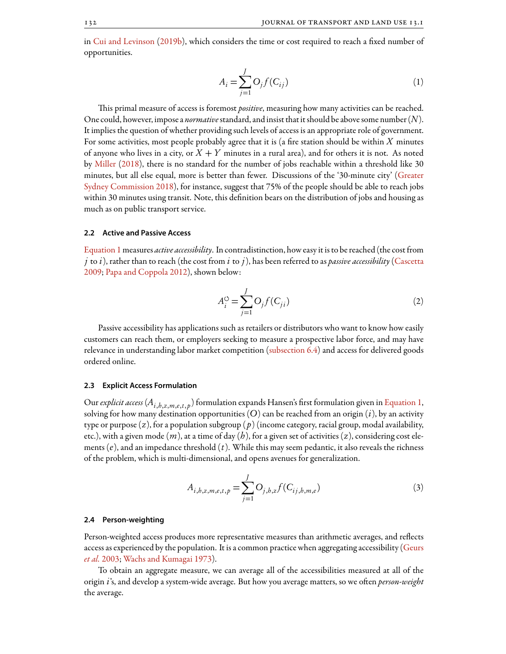<span id="page-3-1"></span>in [Cui and Levinson](#page-24-2) ([2019b](#page-24-2)), which considers the time or cost required to reach a fixed number of opportunities.

$$
A_i = \sum_{j=1}^{J} O_j f(C_{ij})
$$
\n(1)

This primal measure of access is foremost *positive*, measuring how many activities can be reached. One could, however, impose a *normative*standard, and insist that it should be above some number (*N*). It implies the question of whether providing such levels of access is an appropriate role of government. For some activities, most people probably agree that it is (a fire station should be within *X* minutes of anyone who lives in a city, or  $X + Y$  minutes in a rural area), and for others it is not. As noted by [Miller](#page-27-5) [\(2018](#page-27-5)), there is no standard for the number of jobs reachable within a threshold like 30 minutes, but all else equal, more is better than fewer. Discussions of the '30-minute city' [\(Greater](#page-25-3) [Sydney Commission](#page-25-3) [2018](#page-25-3)), for instance, suggest that 75% of the people should be able to reach jobs within 30 minutes using transit. Note, this definition bears on the distribution of jobs and housing as much as on public transport service.

### <span id="page-3-3"></span>**2.2 Active and Passive Access**

[Equation 1](#page-3-1)measures *active accessibility*. In contradistinction, how easy it is to be reached (the costfrom *j* to *i*), rather than to reach (the cost from *i* to *j*), has been referred to as *passive accessibility*[\(Cascetta](#page-24-3) [2009;](#page-24-3) [Papa and Coppola](#page-27-8) [2012\)](#page-27-8), shown below:

$$
A_i^{\mathcal{O}} = \sum_{j=1}^{J} O_j f(C_{ji})
$$
\n(2)

Passive accessibility has applications such as retailers or distributors who want to know how easily customers can reach them, or employers seeking to measure a prospective labor force, and may have relevancein understanding labor market competition ([subsection 6.4](#page-15-0)) and access for delivered goods ordered online.

### <span id="page-3-0"></span>**2.3 Explicit Access Formulation**

Our *explicit access* (*Ai*,*h*,*z*,*m*,*e*,*t*, *<sup>p</sup>* ) formulation expands Hansen's first formulation given in [Equation 1,](#page-3-1) solving for how many destination opportunities  $(O)$  can be reached from an origin  $(i)$ , by an activity type or purpose (*z*), for a population subgroup ( *p*) (income category, racial group, modal availability, etc.), with a given mode (*m*), at a time of day (*h*), for a given set of activities (*z*), considering cost elements (*e*), and an impedance threshold (*t*). While this may seem pedantic, it also reveals the richness of the problem, which is multi-dimensional, and opens avenues for generalization.

$$
A_{i,b,z,m,e,t,p} = \sum_{j=1}^{J} O_{j,b,z} f(C_{ij,b,m,e})
$$
\n(3)

### <span id="page-3-2"></span>**2.4 Person-weighting**

Person-weighted access produces more representative measures than arithmetic averages, and reflects access as experienced by the population. It is a common practice when aggregating accessibility [\(Geurs](#page-25-4) *[et al.](#page-25-4)* [2003](#page-25-4); [Wachs and Kumagai](#page-29-3) [1973](#page-29-3)).

To obtain an aggregate measure, we can average all of the accessibilities measured at all of the origin *i*'s, and develop a system-wide average. But how you average matters, so we often *person-weight* the average.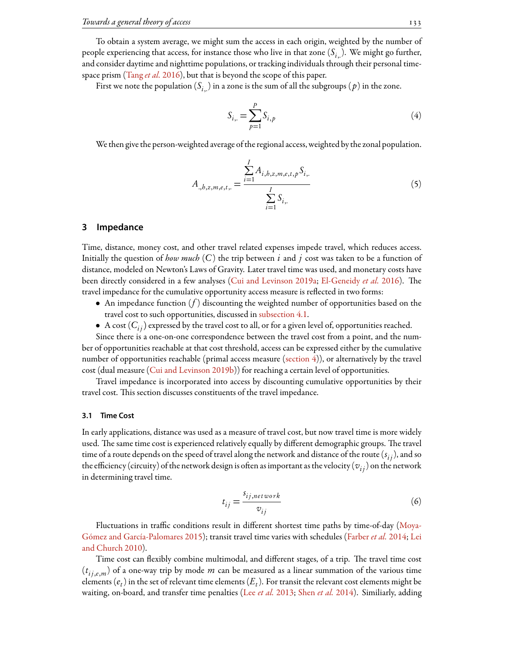To obtain a system average, we might sum the access in each origin, weighted by the number of people experiencing that access, for instance those who live in that zone (*Si*,.). We might go further, and consider daytime and nighttime populations, or tracking individuals through their personal timespace prism [\(Tang](#page-28-6) *et al.* [2016\)](#page-28-6), but that is beyond the scope of this paper.

First we note the population  $(S_i)$  in a zone is the sum of all the subgroups  $(p)$  in the zone.

$$
S_{i, \cdot} = \sum_{p=1}^{P} S_{i, p} \tag{4}
$$

We then give the person-weighted average of the regional access, weighted by the zonal population.

$$
A_{.,b,z,m,e,t,..} = \frac{\sum_{i=1}^{I} A_{i,b,z,m,e,t,p} S_{i,..}}{\sum_{i=1}^{I} S_{i,..}}
$$
(5)

# <span id="page-4-0"></span>**3 Impedance**

Time, distance, money cost, and other travel related expenses impede travel, which reduces access. Initially the question of *how much* (*C*) the trip between *i* and *j* cost was taken to be a function of distance, modeled on Newton's Laws of Gravity. Later travel time was used, and monetary costs have been directly considered in a few analyses [\(Cui and Levinson](#page-24-4) [2019a](#page-24-4); [El-Geneidy](#page-25-5) *et al.* [2016](#page-25-5)). The travel impedance for the cumulative opportunity access measure is reflected in two forms:

- *•* An impedance function (*f* ) discounting the weighted number of opportunities based on the travel cost to such opportunities, discussed in [subsection 4.1.](#page-8-0)
- A cost  $(C_{ij})$  expressed by the travel cost to all, or for a given level of, opportunities reached.

Since there is a one-on-one correspondence between the travel cost from a point, and the number of opportunities reachable at that cost threshold, access can be expressed either by the cumulative number of opportunities reachable (primal access measure([section 4\)](#page-7-0)), or alternatively by the travel cost (dual measure([Cui and Levinson](#page-24-2) [2019b](#page-24-2))) for reaching a certain level of opportunities.

Travel impedance is incorporated into access by discounting cumulative opportunities by their travel cost. This section discusses constituents of the travel impedance.

### <span id="page-4-1"></span>**3.1 Time Cost**

In early applications, distance was used as a measure of travel cost, but now travel time is more widely used. The same time cost is experienced relatively equally by different demographic groups. The travel time of a route depends on the speed of travel along the network and distance of the route (*s i j*), and so the efficiency (circuity) of the network design is often as important as the velocity ( $v_{ij}$ ) on the network in determining travel time.

$$
t_{ij} = \frac{s_{ij,network}}{v_{ij}}
$$
\n<sup>(6)</sup>

Fluctuations in traffic conditions result in different shortest time paths by time-of-day [\(Moya-](#page-27-9)[Gómez and García-Palomares](#page-27-9) [2015](#page-27-9)); transit travel time varies with schedules [\(Farber](#page-25-6) *et al.* [2014;](#page-25-6) [Lei](#page-26-6) [and Church](#page-26-6) [2010](#page-26-6)).

Time cost can flexibly combine multimodal, and different stages, of a trip. The travel time cost  $(t_{ij,e,m})$  of a one-way trip by mode  $m$  can be measured as a linear summation of the various time elements  $(e_t)$  in the set of relevant time elements  $(E_t)$ . For transit the relevant cost elements might be waiting, on-board, and transfer time penalties (Lee *[et al.](#page-26-7)* [2013;](#page-26-7) [Shen](#page-28-7) *et al.* [2014\)](#page-28-7). Similiarly, adding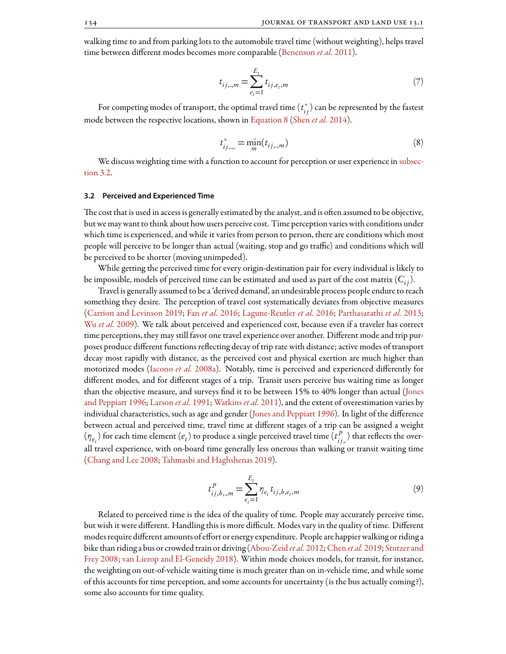walking time to and from parking lots to the automobile travel time (without weighting), helps travel time between different modes becomes more comparable([Benenson](#page-24-5) *et al.* [2011](#page-24-5)).

$$
t_{ij,..,m} = \sum_{e_t=1}^{E_t} t_{ij,e_t,m}
$$
 (7)

<span id="page-5-0"></span>For competing modes of transport, the optimal travel time  $(t^*_{ij})$  can be represented by the fastest mode between the respective locations, shown in [Equation 8](#page-5-0) ([Shen](#page-28-7) *et al.* [2014](#page-28-7)).

$$
t_{ij,\dots}^* = \min_m(t_{ij,\dots,m})
$$
\n(8)

We discuss weighting time with a function to account for perception or user experience in [subsec](#page-5-1)[tion 3.2.](#page-5-1)

### <span id="page-5-1"></span>**3.2 Perceived and Experienced Time**

The cost that is used in access is generally estimated by the analyst, and is often assumed to be objective, but we may want to think about how users perceive cost. Time perception varies with conditions under which time is experienced, and while it varies from person to person, there are conditions which most people will perceive to be longer than actual (waiting, stop and go traffic) and conditions which will be perceived to be shorter (moving unimpeded).

While getting the perceived time for every origin-destination pair for every individual is likely to be impossible, models of perceived time can be estimated and used as part of the cost matrix  $(C_{ij})$ .

Travel is generally assumed to be a 'derived demand', an undesirable process people endure to reach something they desire. The perception of travel cost systematically deviates from objective measures [\(Carrion and Levinson](#page-24-6) [2019;](#page-24-6) Fan *[et al.](#page-25-7)* [2016;](#page-25-7) [Lagune-Reutler](#page-26-8) *et al.* [2016;](#page-26-8) [Parthasarathi](#page-28-8) *et al.* [2013](#page-28-8); Wu *[et al.](#page-29-4)* [2009](#page-29-4)). We talk about perceived and experienced cost, because even if a traveler has correct time perceptions, they may still favor one travel experience over another. Different mode and trip purposes produce different functions reflecting decay of trip rate with distance; active modes of transport decay most rapidly with distance, as the perceived cost and physical exertion are much higher than motorized modes [\(Iacono](#page-25-8) *et al.* [2008a](#page-25-8)). Notably, time is perceived and experienced differently for different modes, and for different stages of a trip. Transit users perceive bus waiting time as longer than the objective measure, and surveys find it to be between 15% to 40% longer than actual([Jones](#page-26-9) [and Peppiatt](#page-26-9) [1996;](#page-26-9) [Larson](#page-26-10) *et al.* [1991](#page-26-10); [Watkins](#page-29-5) *et al.* [2011\)](#page-29-5), and the extent of overestimation varies by individual characteristics, such as age and gender [\(Jones and Peppiatt](#page-26-9) [1996\)](#page-26-9). In light of the difference between actual and perceived time, travel time at different stages of a trip can be assigned a weight  $(\eta_{e_t})$  for each time element  $(e_t)$  to produce a single perceived travel time  $(t_{ij}^P)$  $f'_{ij,:}$  that reflects the overall travel experience, with on-board time generally less onerous than walking or transit waiting time [\(Chang and Lee](#page-24-7) [2008](#page-24-7); [Tahmasbi and Haghshenas](#page-28-9) [2019](#page-28-9)).

$$
t_{ij,b,,m}^P = \sum_{e_t=1}^{E_t} \eta_{e_t} t_{ij,b,e_t,m}
$$
 (9)

Related to perceived time is the idea of the quality of time. People may accurately perceive time, but wish it were different. Handling this is more difficult. Modes vary in the quality of time. Different modes require different amounts of effort or energy expenditure. People are happier walking or riding a bike than riding a bus or crowded train or driving([Abou-Zeid](#page-24-8) *et al.* [2012;](#page-24-8) [Chen](#page-24-9) *et al.* [2019](#page-24-9); [Stutzer and](#page-28-10) [Frey](#page-28-10) [2008;](#page-28-10) [van Lierop and El-Geneidy](#page-28-11) [2018\)](#page-28-11). Within mode choices models, for transit, for instance, the weighting on out-of-vehicle waiting time is much greater than on in-vehicle time, and while some of this accounts for time perception, and some accounts for uncertainty (is the bus actually coming?), some also accounts for time quality.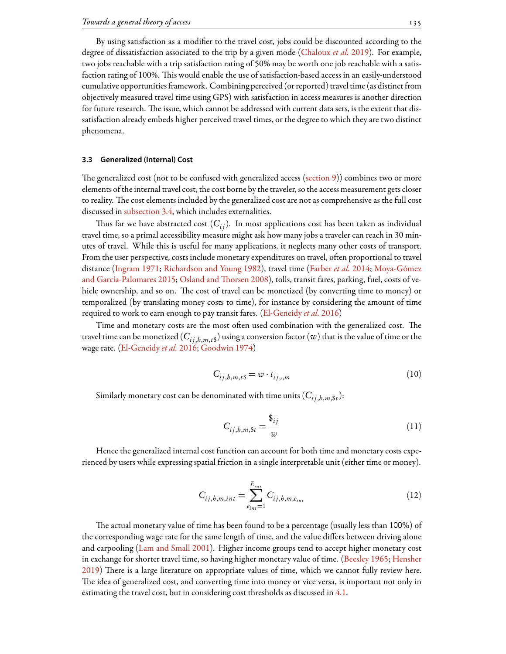By using satisfaction as a modifier to the travel cost, jobs could be discounted according to the degree of dissatisfaction associated to the trip by a given mode [\(Chaloux](#page-24-10) *et al.* [2019](#page-24-10)). For example, two jobs reachable with a trip satisfaction rating of 50% may be worth one job reachable with a satisfaction rating of 100%. This would enable the use of satisfaction-based access in an easily-understood cumulative opportunitiesframework. Combining perceived (or reported) travel time (as distinctfrom objectively measured travel time using GPS) with satisfaction in access measures is another direction for future research. The issue, which cannot be addressed with current data sets, is the extent that dissatisfaction already embeds higher perceived travel times, or the degree to which they are two distinct phenomena.

# <span id="page-6-0"></span>**3.3 Generalized (Internal) Cost**

The generalized cost (not to be confused with generalized access [\(section 9](#page-19-0))) combines two or more elements of the internal travel cost, the cost borne by the traveler, so the access measurement gets closer to reality. The cost elements included by the generalized cost are not as comprehensive as the full cost discussed in [subsection 3.4,](#page-7-1) which includes externalities.

Thus far we have abstracted cost  $(C_{ij})$ . In most applications cost has been taken as individual travel time, so a primal accessibility measure might ask how many jobs a traveler can reach in 30 minutes of travel. While this is useful for many applications, it neglects many other costs of transport. From the user perspective, costs include monetary expenditures on travel, often proportional to travel distance [\(Ingram](#page-26-11) [1971;](#page-26-11) [Richardson and Young](#page-28-12) [1982\)](#page-28-12), travel time([Farber](#page-25-6) *et al.* [2014;](#page-25-6) [Moya-Gómez](#page-27-9) [and García-Palomares](#page-27-9) [2015;](#page-27-9) Osland and Thorsen [2008\)](#page-27-10), tolls, transit fares, parking, fuel, costs of vehicle ownership, and so on. The cost of travel can be monetized (by converting time to money) or temporalized (by translating money costs to time), for instance by considering the amount of time required to work to earn enough to pay transit fares. [\(El-Geneidy](#page-25-5) *et al.* [2016](#page-25-5))

Time and monetary costs are the most often used combination with the generalized cost. The travel time can be monetized (  $C_{ij, h, m, t\$}$  ) using a conversion factor (  $w$  ) that is the value of time or the wage rate. [\(El-Geneidy](#page-25-5) *et al.* [2016](#page-25-5); [Goodwin](#page-25-9) [1974](#page-25-9))

$$
C_{ij,b,m,t\mathfrak{s}} = w \cdot t_{ij,,m} \tag{10}
$$

Similarly monetary cost can be denominated with time units  $(C_{ij,b,m,\$t})$ :

$$
C_{ij,b,m,St} = \frac{\mathfrak{s}_{ij}}{w} \tag{11}
$$

Hence the generalized internal cost function can account for both time and monetary costs experienced by users while expressing spatial friction in a single interpretable unit (either time or money).

$$
C_{ij,b,m,int} = \sum_{e_{int}=1}^{E_{int}} C_{ij,b,m,e_{int}}
$$
 (12)

The actual monetary value of time has been found to be a percentage (usually less than 100%) of the corresponding wage rate for the same length of time, and the value differs between driving alone and carpooling([Lam and Small](#page-26-12) [2001](#page-26-12)). Higher income groups tend to accept higher monetary cost in exchange for shorter travel time, so having higher monetary value of time. [\(Beesley](#page-24-11) [1965;](#page-24-11) [Hensher](#page-25-10) [2019](#page-25-10)) There is a large literature on appropriate values of time, which we cannot fully review here. The idea of generalized cost, and converting time into money or vice versa, is important not only in estimating the travel cost, but in considering cost thresholds as discussed in [4.1.](#page-8-0)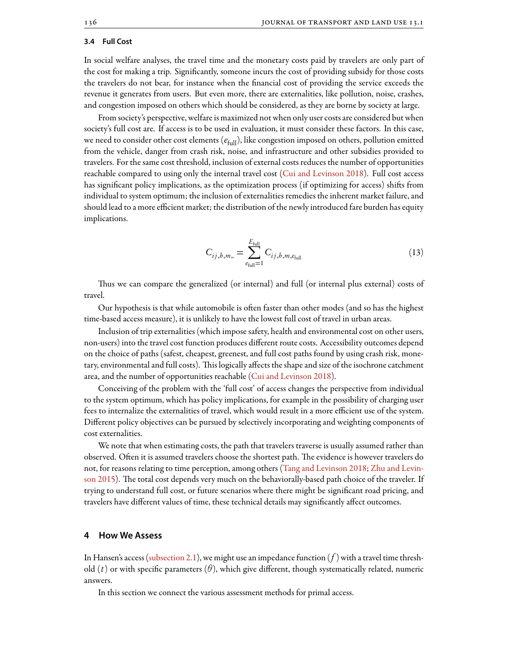## <span id="page-7-1"></span>**3.4 Full Cost**

In social welfare analyses, the travel time and the monetary costs paid by travelers are only part of the cost for making a trip. Significantly, someone incurs the cost of providing subsidy for those costs the travelers do not bear, for instance when the financial cost of providing the service exceeds the revenue it generates from users. But even more, there are externalities, like pollution, noise, crashes, and congestion imposed on others which should be considered, as they are borne by society at large.

From society's perspective, welfare is maximized not when only user costs are considered but when society's full cost are. If access is to be used in evaluation, it must consider these factors. In this case, we need to consider other cost elements (*e*full), like congestion imposed on others, pollution emitted from the vehicle, danger from crash risk, noise, and infrastructure and other subsidies provided to travelers. For the same cost threshold, inclusion of external costs reduces the number of opportunities reachable compared to using only the internal travel cost([Cui and Levinson](#page-24-12) [2018](#page-24-12)). Full cost access has significant policy implications, as the optimization process (if optimizing for access) shifts from individual to system optimum; the inclusion of externalities remedies the inherent market failure, and should lead to a more efficient market; the distribution of the newly introduced fare burden has equity implications.

$$
C_{ij,b,m} = \sum_{e_{\text{full}}=1}^{E_{\text{full}}} C_{ij,b,m,e_{\text{full}}}
$$
 (13)

Thus we can compare the generalized (or internal) and full (or internal plus external) costs of travel.

Our hypothesis is that while automobile is often faster than other modes (and so has the highest time-based access measure), it is unlikely to have the lowest full cost of travel in urban areas.

Inclusion of trip externalities (which impose safety, health and environmental cost on other users, non-users) into the travel cost function produces different route costs. Accessibility outcomes depend on the choice of paths (safest, cheapest, greenest, and full cost paths found by using crash risk, monetary, environmental and full costs). This logically affects the shape and size of the isochrone catchment area, and the number of opportunities reachable [\(Cui and Levinson](#page-24-12) [2018\)](#page-24-12).

Conceiving of the problem with the 'full cost' of access changes the perspective from individual to the system optimum, which has policy implications, for example in the possibility of charging user fees to internalize the externalities of travel, which would result in a more efficient use of the system. Different policy objectives can be pursued by selectively incorporating and weighting components of cost externalities.

We note that when estimating costs, the path that travelers traverse is usually assumed rather than observed. Often it is assumed travelers choose the shortest path. The evidence is however travelers do not, for reasons relating to time perception, among others [\(Tang and Levinson](#page-28-13) [2018;](#page-28-13) [Zhu and Levin](#page-29-6)[son](#page-29-6) [2015\)](#page-29-6). The total cost depends very much on the behaviorally-based path choice of the traveler. If trying to understand full cost, or future scenarios where there might be significant road pricing, and travelers have different values of time, these technical details may significantly affect outcomes.

# <span id="page-7-0"></span>**4 How We Assess**

In Hansen's access [\(subsection 2.1](#page-2-1)), we might use an impedance function (*f* ) with a travel time threshold (*t*) or with specific parameters (*θ*), which give different, though systematically related, numeric answers.

In this section we connect the various assessment methods for primal access.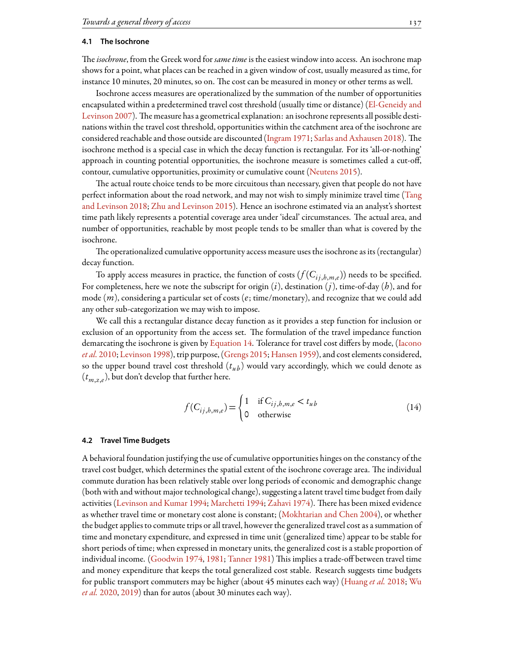# <span id="page-8-0"></span>**4.1 The Isochrone**

e*isochrone*, from the Greek word for *same time* is the easiest window into access. An isochrone map shows for a point, what places can be reached in a given window of cost, usually measured as time, for instance 10 minutes, 20 minutes, so on. The cost can be measured in money or other terms as well.

Isochrone access measures are operationalized by the summation of the number of opportunities encapsulated within a predetermined travel cost threshold (usually time or distance)([El-Geneidy and](#page-25-11) [Levinson](#page-25-11) [2007\)](#page-25-11). The measure has a geometrical explanation: an isochrone represents all possible destinations within the travel cost threshold, opportunities within the catchment area of the isochrone are consideredreachable and those outside are discounted ([Ingram](#page-26-11) [1971;](#page-26-11) [Sarlas and Axhausen](#page-28-14) [2018\)](#page-28-14). The isochrone method is a special case in which the decay function is rectangular. For its 'all-or-nothing' approach in counting potential opportunities, the isochrone measure is sometimes called a cut-off, contour, cumulative opportunities, proximity or cumulative count([Neutens](#page-27-11) [2015](#page-27-11)).

The actual route choice tends to be more circuitous than necessary, given that people do not have perfect information about the road network, and may not wish to simply minimize travel time([Tang](#page-28-13) [and Levinson](#page-28-13) [2018](#page-28-13); [Zhu and Levinson](#page-29-6) [2015\)](#page-29-6). Hence an isochrone estimated via an analyst's shortest time path likely represents a potential coverage area under 'ideal' circumstances. The actual area, and number of opportunities, reachable by most people tends to be smaller than what is covered by the isochrone.

The operationalized cumulative opportunity access measure uses the isochrone as its (rectangular) decay function.

To apply access measures in practice, the function of costs  $(f(C_{ij,b,m,e}))$  needs to be specified. For completeness, here we note the subscript for origin (*i*), destination (*j*), time-of-day (*h*), and for mode (*m*), considering a particular set of costs (*e*; time/monetary), and recognize that we could add any other sub-categorization we may wish to impose.

We call this a rectangular distance decay function as it provides a step function for inclusion or exclusion of an opportunity from the access set. The formulation of the travel impedance function demarcating the isochrone is given by [Equation 14](#page-8-1). Tolerance for travel cost differs by mode, [\(Iacono](#page-26-13) *[et al.](#page-26-13)* [2010;](#page-26-13) [Levinson](#page-26-0) [1998](#page-26-0)), trip purpose, [\(Grengs](#page-25-12) [2015;](#page-25-12) [Hansen](#page-25-2) [1959\)](#page-25-2), and cost elements considered, so the upper bound travel cost threshold  $(t_{\mu b})$  would vary accordingly, which we could denote as (*tm*,*z*,*<sup>e</sup>* ), but don't develop that further here.

$$
f(C_{ij,b,m,e}) = \begin{cases} 1 & \text{if } C_{ij,b,m,e} < t_{ub} \\ 0 & \text{otherwise} \end{cases}
$$
 (14)

# <span id="page-8-1"></span>**4.2 Travel Time Budgets**

A behavioral foundation justifying the use of cumulative opportunities hinges on the constancy of the travel cost budget, which determines the spatial extent of the isochrone coverage area. The individual commute duration has been relatively stable over long periods of economic and demographic change (both with and without major technological change), suggesting a latent travel time budget from daily activities([Levinson and Kumar](#page-26-14) [1994](#page-26-15); [Marchetti](#page-26-15) 1994; [Zahavi](#page-29-7) [1974\)](#page-29-7). There has been mixed evidence as whether travel time or monetary cost alone is constant;([Mokhtarian and Chen](#page-27-12) [2004\)](#page-27-12), or whether the budget applies to commute trips or all travel, however the generalized travel cost as a summation of time and monetary expenditure, and expressed in time unit (generalized time) appear to be stable for short periods of time; when expressed in monetary units, the generalized cost is a stable proportion of individual income. [\(Goodwin](#page-25-9) [1974](#page-25-9), [1981;](#page-25-13) [Tanner](#page-28-15) [1981](#page-28-15)) This implies a trade-off between travel time and money expenditure that keeps the total generalized cost stable. Research suggests time budgets for public transport commuters may be higher (about 45 minutes each way)([Huang](#page-25-14) *et al.* [2018](#page-25-14); [Wu](#page-29-8) *[et al.](#page-29-8)* [2020,](#page-29-8) [2019](#page-29-9)) than for autos (about 30 minutes each way).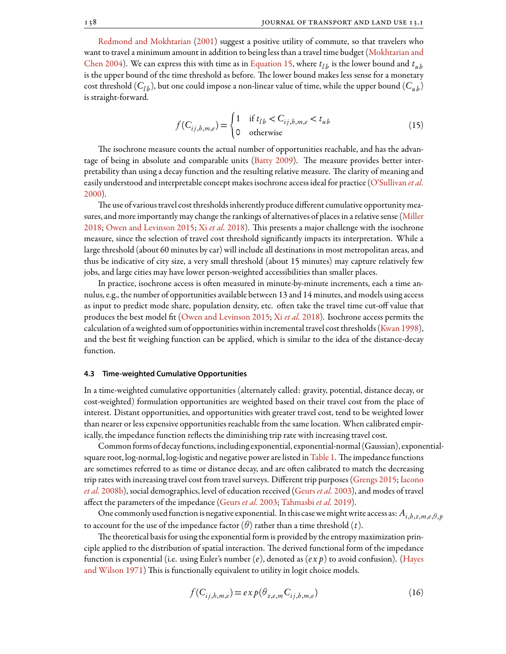[Redmond and Mokhtarian](#page-28-16) [\(2001](#page-28-16)) suggest a positive utility of commute, so that travelers who want to travel a minimum amount in addition to being less than a travel time budget [\(Mokhtarian and](#page-27-12) [Chen](#page-27-12) [2004](#page-27-12)). We can express this with time as in [Equation 15](#page-9-0), where  $t_{lb}$  is the lower bound and  $t_{ub}$ is the upper bound of the time threshold as before. The lower bound makes less sense for a monetary cost threshold ( $C_{lb}$ ), but one could impose a non-linear value of time, while the upper bound ( $C_{ub}$ ) is straight-forward.

$$
f(C_{ij,b,m,e}) = \begin{cases} 1 & \text{if } t_{lb} < C_{ij,b,m,e} < t_{ub} \\ 0 & \text{otherwise} \end{cases}
$$
 (15)

<span id="page-9-0"></span>The isochrone measure counts the actual number of opportunities reachable, and has the advan-tageof being in absolute and comparable units ([Batty](#page-24-13) [2009\)](#page-24-13). The measure provides better interpretability than using a decay function and the resulting relative measure. The clarity of meaning and easily understood and interpretable concept makes isochrone access ideal for practice [\(O'Sullivan](#page-27-13) *et al.* [2000\)](#page-27-13).

The use of various travel cost thresholds inherently produce different cumulative opportunity measures, and more importantly may change the rankings of alternatives of places in a relative sense [\(Miller](#page-27-5) [2018;](#page-27-5) [Owen and Levinson](#page-27-2) [2015](#page-27-2); Xi *[et al.](#page-29-10)* [2018](#page-29-10)). This presents a major challenge with the isochrone measure, since the selection of travel cost threshold significantly impacts its interpretation. While a large threshold (about 60 minutes by car) will include all destinations in most metropolitan areas, and thus be indicative of city size, a very small threshold (about 15 minutes) may capture relatively few jobs, and large cities may have lower person-weighted accessibilities than smaller places.

In practice, isochrone access is often measured in minute-by-minute increments, each a time annulus, e.g., the number of opportunities available between 13 and 14 minutes, and models using access as input to predict mode share, population density, etc. often take the travel time cut-off value that produces the best model fit [\(Owen and Levinson](#page-27-2) [2015](#page-27-2); Xi *[et al.](#page-29-10)* [2018](#page-29-10)). Isochrone access permits the calculation of a weighted sum of opportunities within incremental travel cost thresholds [\(Kwan](#page-26-16) [1998\)](#page-26-16), and the best fit weighing function can be applied, which is similar to the idea of the distance-decay function.

#### <span id="page-9-1"></span>**4.3 Time-weighted Cumulative Opportunities**

In a time-weighted cumulative opportunities (alternately called: gravity, potential, distance decay, or cost-weighted) formulation opportunities are weighted based on their travel cost from the place of interest. Distant opportunities, and opportunities with greater travel cost, tend to be weighted lower than nearer or less expensive opportunities reachable from the same location. When calibrated empirically, the impedance function reflects the diminishing trip rate with increasing travel cost.

Commonforms of decayfunctions, including exponential, exponential-normal (Gaussian), exponential-square root, log-normal, log-logistic and negative power are listed in [Table 1](#page-10-1). The impedance functions are sometimes referred to as time or distance decay, and are often calibrated to match the decreasing trip rates with increasing travel cost from travel surveys. Different trip purposes [\(Grengs](#page-25-12) [2015](#page-25-12); [Iacono](#page-26-17) *[et al.](#page-26-17)* [2008b](#page-26-17)), social demographics, level of education received([Geurs](#page-25-4) *et al.* [2003\)](#page-25-4), and modes of travel affect the parameters of the impedance [\(Geurs](#page-25-4) *et al.* [2003;](#page-25-4) [Tahmasbi](#page-28-17) *et al.* [2019](#page-28-17)).

One commonly used function is negative exponential. In this case we might write access as:  $A_{i,b,z,m,e,\theta,p}$ to account for the use of the impedance factor  $(\theta)$  rather than a time threshold  $(t)$ .

The theoretical basis for using the exponential form is provided by the entropy maximization principle applied to the distribution of spatial interaction. The derived functional form of the impedance function is exponential (i.e. using Euler's number (*e*), denoted as (*e x p*) to avoid confusion).([Hayes](#page-25-15) [and Wilson](#page-25-15) [1971](#page-25-15)) This is functionally equivalent to utility in logit choice models.

$$
f(C_{ij,b,m,e}) = exp(\theta_{z,e,m} C_{ij,b,m,e})
$$
\n(16)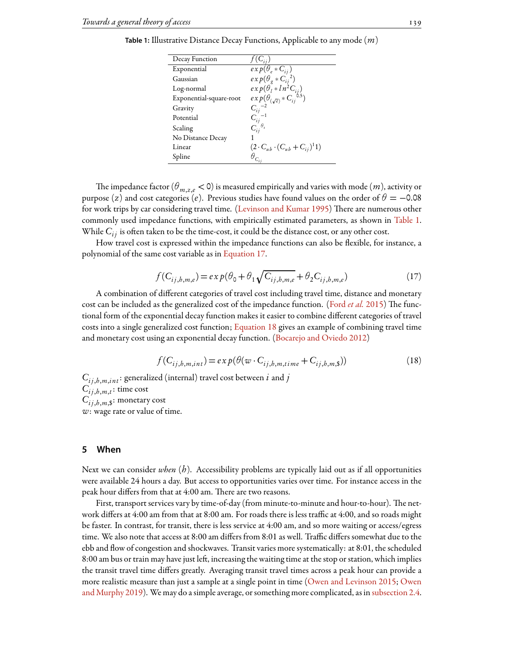| Decay Function          |                                              |
|-------------------------|----------------------------------------------|
| Exponential             | $exp(\theta_e * C_{ii})$                     |
| Gaussian                | $\exp(\theta_g * C_{ij}^2)$                  |
| Log-normal              | $exp(\theta_i * ln^2C_{ij})$                 |
| Exponential-square-root | $exp(\theta_{(\sqrt{e})} * C_{ii}^{\;6.5})$  |
| Gravity                 | $C_{ii}^{-2}$                                |
| Potential               | $C_{ij}$                                     |
| Scaling                 | $C_{ii}^{\theta_s}$                          |
| No Distance Decay       |                                              |
| Linear                  | $(2 \cdot C_{ub} \cdot (C_{ub} + C_{ij})^1)$ |
| Spline                  | $\theta_{C_{ij}}$                            |

<span id="page-10-1"></span>**Table 1:** Illustrative Distance Decay Functions, Applicable to any mode (*m*)

The impedance factor ( $\theta_{m,z,e}$  < 0) is measured empirically and varies with mode (*m*), activity or purpose (*z*) and cost categories (*e*). Previous studies have found values on the order of  $\theta = -0.08$ forwork trips by car considering travel time. ([Levinson and Kumar](#page-26-18) [1995](#page-26-18)) There are numerous other commonly used impedance functions, with empirically estimated parameters, as shown in [Table 1](#page-10-1). While  $C_{i,j}$  is often taken to be the time-cost, it could be the distance cost, or any other cost.

<span id="page-10-2"></span>How travel cost is expressed within the impedance functions can also be flexible, for instance, a polynomial of the same cost variable as in [Equation 17](#page-10-2).

$$
f(C_{ij,b,m,e}) = ex p(\theta_0 + \theta_1 \sqrt{C_{ij,b,m,e}} + \theta_2 C_{ij,b,m,e})
$$
\n(17)

A combination of different categories of travel cost including travel time, distance and monetary costcan be included as the generalized cost of the impedance function. ([Ford](#page-25-16) *et al.* [2015](#page-25-16)) The functional form of the exponential decay function makes it easier to combine different categories of travel costs into a single generalized cost function; [Equation 18](#page-10-3) gives an example of combining travel time and monetary cost using an exponential decay function. [\(Bocarejo and Oviedo](#page-24-14) [2012\)](#page-24-14)

$$
f(C_{ij,b,m,int}) = exp(\theta(w \cdot C_{ij,b,m,time} + C_{ij,b,m,s}))
$$
\n(18)

<span id="page-10-3"></span> $C_{i j, h, m, int}$ : generalized (internal) travel cost between *i* and *j*  $C_{ij, h, m, t}$ : time cost  $C_{ij, h, m, \$}$ : monetary cost *w*: wage rate or value of time.

# <span id="page-10-0"></span>**5 When**

Next we can consider *when* (*h*). Accessibility problems are typically laid out as if all opportunities were available 24 hours a day. But access to opportunities varies over time. For instance access in the peak hour differs from that at 4:00 am. There are two reasons.

First, transport services vary by time-of-day (from minute-to-minute and hour-to-hour). The network differs at 4:00 am from that at 8:00 am. For roads there is less traffic at 4:00, and so roads might be faster. In contrast, for transit, there is less service at 4:00 am, and so more waiting or access/egress time. We also note that access at 8:00 am differs from 8:01 as well. Traffic differs somewhat due to the ebb and flow of congestion and shockwaves. Transit varies more systematically: at 8:01, the scheduled 8:00 am bus or train may have just left, increasing the waiting time at the stop or station, which implies the transit travel time differs greatly. Averaging transit travel times across a peak hour can provide a more realistic measure than just a sample at a single point in time [\(Owen and Levinson](#page-27-2) [2015;](#page-27-2) [Owen](#page-27-14) [and Murphy](#page-27-14) [2019\)](#page-27-14). We may do a simple average, or something more complicated, as in [subsection 2.4](#page-3-2).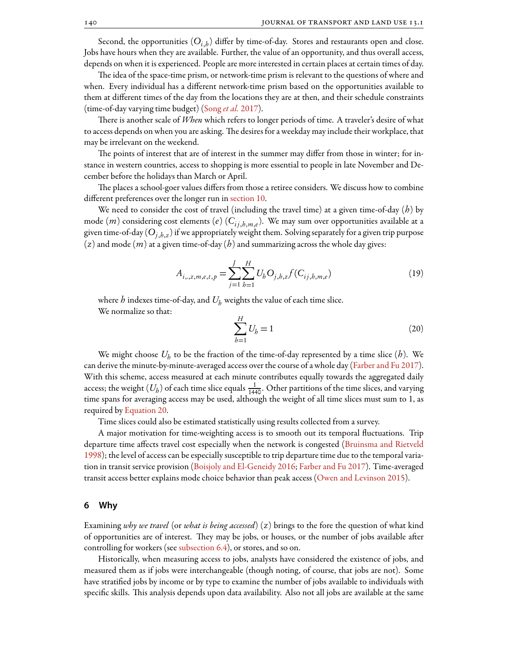Second, the opportunities  $(O_{i,b})$  differ by time-of-day. Stores and restaurants open and close. Jobs have hours when they are available. Further, the value of an opportunity, and thus overall access, depends on when it is experienced. People are more interested in certain places at certain times of day.

The idea of the space-time prism, or network-time prism is relevant to the questions of where and when. Every individual has a different network-time prism based on the opportunities available to them at different times of the day from the locations they are at then, and their schedule constraints (time-of-day varying time budget) [\(Song](#page-28-18) *et al.* [2017\)](#page-28-18).

There is another scale of *When* which refers to longer periods of time. A traveler's desire of what to access depends on when you are asking. The desires for a weekday may include their workplace, that may be irrelevant on the weekend.

The points of interest that are of interest in the summer may differ from those in winter; for instance in western countries, access to shopping is more essential to people in late November and December before the holidays than March or April.

The places a school-goer values differs from those a retiree considers. We discuss how to combine different preferences over the longer run in [section 10.](#page-19-1)

We need to consider the cost of travel (including the travel time) at a given time-of-day (*h*) by mode (*m*) considering cost elements (*e*) (*Ci j* ,*h*,*m*,*<sup>e</sup>* ). We may sum over opportunities available at a given time-of-day (*Oj*,*h*,*<sup>z</sup>* ) if we appropriately weight them. Solving separately for a given trip purpose (*z*) and mode (*m*) at a given time-of-day (*h*) and summarizing across the whole day gives:

<span id="page-11-1"></span>
$$
A_{i,,z,m,e,t,p} = \sum_{j=1}^{J} \sum_{b=1}^{H} U_b O_{j,b,z} f(C_{ij,b,m,e})
$$
(19)

where *h* indexes time-of-day, and *U<sup>h</sup>* weights the value of each time slice. We normalize so that:

$$
\sum_{b=1}^{H} U_b = 1
$$
 (20)

We might choose  $U_b$  to be the fraction of the time-of-day represented by a time slice  $(b)$ . We can derive the minute-by-minute-averaged access over the course of a whole day [\(Farber and Fu](#page-25-17) [2017\)](#page-25-17). With this scheme, access measured at each minute contributes equally towards the aggregated daily access; the weight  $(U_b)$  of each time slice equals  $\frac{1}{1440}$ . Other partitions of the time slices, and varying time spans for averaging access may be used, although the weight of all time slices must sum to 1, as required by [Equation 20.](#page-11-1)

Time slices could also be estimated statistically using results collected from a survey.

A major motivation for time-weighting access is to smooth out its temporal fluctuations. Trip departure time affects travel cost especially when the network is congested [\(Bruinsma and Rietveld](#page-24-15) [1998\)](#page-24-15); the level of access can be especially susceptible to trip departure time due to the temporal variation in transit service provision [\(Boisjoly and El-Geneidy](#page-24-16) [2016](#page-24-16); [Farber and Fu](#page-25-17) [2017](#page-25-17)). Time-averaged transit access better explains mode choice behavior than peak access([Owen and Levinson](#page-27-2) [2015](#page-27-2)).

### <span id="page-11-0"></span>**6 Why**

Examining *why we travel* (or *what is being accessed*) (*z*) brings to the fore the question of what kind of opportunities are of interest. They may be jobs, or houses, or the number of jobs available after controlling for workers (see subsection  $6.4$ ), or stores, and so on.

Historically, when measuring access to jobs, analysts have considered the existence of jobs, and measured them as if jobs were interchangeable (though noting, of course, that jobs are not). Some have stratified jobs by income or by type to examine the number of jobs available to individuals with specific skills. This analysis depends upon data availability. Also not all jobs are available at the same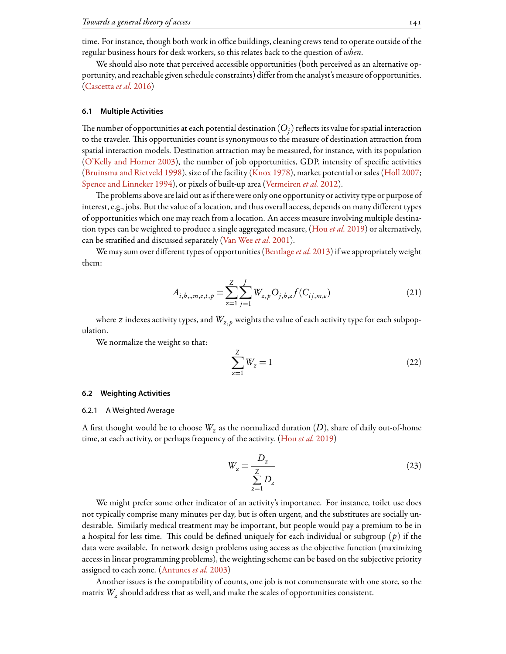time. For instance, though both work in office buildings, cleaning crews tend to operate outside of the regular business hours for desk workers, so this relates back to the question of *when*.

We should also note that perceived accessible opportunities (both perceived as an alternative opportunity, and reachable given schedule constraints) differfrom the analyst's measure of opportunities. ([Cascetta](#page-24-17)*et al.* [2016](#page-24-17))

### <span id="page-12-0"></span>**6.1 Multiple Activities**

The number of opportunities at each potential destination  $(O_{\vec{j}})$  reflects its value for spatial interaction to the traveler. This opportunities count is synonymous to the measure of destination attraction from spatial interaction models. Destination attraction may be measured, for instance, with its population ([O'Kelly and Horner](#page-27-15) [2003](#page-27-15)), the number of job opportunities, GDP, intensity of specific activities ([Bruinsma and Rietveld](#page-24-15) [1998](#page-24-15)), size of the facility [\(Knox](#page-26-19) [1978](#page-26-19)), market potential or sales([Holl](#page-25-18) [2007;](#page-25-18) [Spence and Linneker](#page-28-19) [1994\)](#page-28-19), or pixels of built-up area([Vermeiren](#page-29-11) *et al.* [2012](#page-29-11)).

The problems above are laid out as if there were only one opportunity or activity type or purpose of interest, e.g., jobs. But the value of a location, and thus overall access, depends on many different types of opportunities which one may reach from a location. An access measure involving multiple destination types can be weighted to produce a single aggregated measure, [\(Hou](#page-25-19) *et al.* [2019](#page-25-19)) or alternatively, can be stratified and discussed separately([Van Wee](#page-28-20) *et al.* [2001](#page-28-20)).

<span id="page-12-1"></span>We may sum over different types of opportunities([Bentlage](#page-24-18)*et al.* [2013\)](#page-24-18) if we appropriately weight them:

$$
A_{i,b,,,m,e,t,p} = \sum_{z=1}^{Z} \sum_{j=1}^{J} W_{z,p} O_{j,b,z} f(C_{ij,m,e})
$$
\n(21)

where *z* indexes activity types, and  $W_{z,p}$  weights the value of each activity type for each subpopulation.

We normalize the weight so that:

<span id="page-12-2"></span>
$$
\sum_{z=1}^{Z} W_z = 1
$$
 (22)

#### <span id="page-12-4"></span>**6.2 Weighting Activities**

## 6.2.1 A Weighted Average

<span id="page-12-3"></span>A first thought would be to choose  $W_{\rm z}$  as the normalized duration  $(D)$ , share of daily out-of-home time, at each activity, or perhaps frequency of the activity.([Hou](#page-25-19) *et al.* [2019\)](#page-25-19)

$$
W_z = \frac{D_z}{\sum_{z=1}^{Z} D_z}
$$
 (23)

We might prefer some other indicator of an activity's importance. For instance, toilet use does not typically comprise many minutes per day, but is often urgent, and the substitutes are socially undesirable. Similarly medical treatment may be important, but people would pay a premium to be in a hospital for less time. This could be defined uniquely for each individual or subgroup ( $p$ ) if the data were available. In network design problems using access as the objective function (maximizing access in linear programming problems), the weighting scheme can be based on the subjective priority assigned to each zone.([Antunes](#page-24-19) *et al.* [2003](#page-24-19))

Another issues is the compatibility of counts, one job is not commensurate with one store, so the matrix *W<sup>z</sup>* should address that as well, and make the scales of opportunities consistent.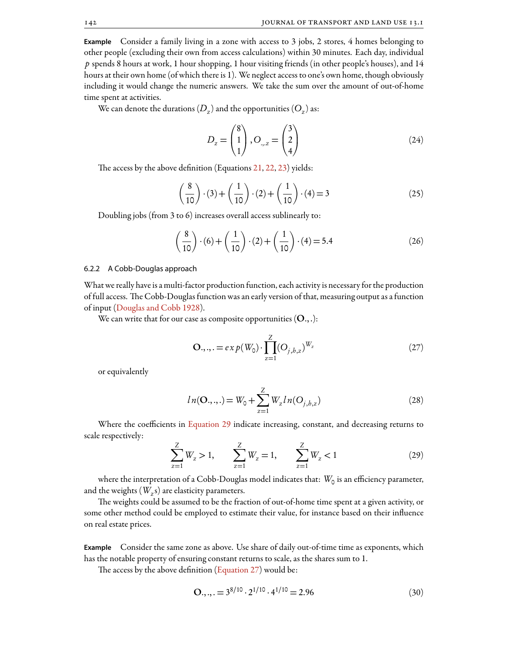**Example** Consider a family living in a zone with access to 3 jobs, 2 stores, 4 homes belonging to other people (excluding their own from access calculations) within 30 minutes. Each day, individual *p* spends 8 hours at work, 1 hour shopping, 1 hour visiting friends (in other people's houses), and 14 hours at their own home (of which there is 1). We neglect access to one's own home, though obviously including it would change the numeric answers. We take the sum over the amount of out-of-home time spent at activities.

We can denote the durations  $(D_z)$  and the opportunities  $(O_z)$  as:

$$
D_z = \begin{pmatrix} 8 \\ 1 \\ 1 \end{pmatrix}, O_{\dots z} = \begin{pmatrix} 3 \\ 2 \\ 4 \end{pmatrix}
$$
 (24)

The access by the above definition (Equations  $21, 22, 23$  $21, 22, 23$  $21, 22, 23$  $21, 22, 23$  $21, 22, 23$ ) yields:

$$
\left(\frac{8}{10}\right) \cdot (3) + \left(\frac{1}{10}\right) \cdot (2) + \left(\frac{1}{10}\right) \cdot (4) = 3\tag{25}
$$

Doubling jobs (from 3 to 6) increases overall access sublinearly to:

$$
\left(\frac{8}{10}\right) \cdot (6) + \left(\frac{1}{10}\right) \cdot (2) + \left(\frac{1}{10}\right) \cdot (4) = 5.4
$$
 (26)

#### 6.2.2 A Cobb-Douglas approach

What we really have is a multi-factor production function, each activity is necessary for the production of full access. The Cobb-Douglas function was an early version of that, measuring output as a function of input([Douglas and Cobb](#page-25-20) [1928\)](#page-25-20).

<span id="page-13-1"></span>We can write that for our case as composite opportunities  $(O.,.)$ :

$$
\mathbf{O}_{\cdot,\cdot,\cdot} = e x p(W_0) \cdot \prod_{z=1}^{Z} (O_{j,b,z})^{W_z}
$$
 (27)

or equivalently

$$
ln(\mathbf{O}_{\cdot,\cdot,\cdot}) = W_0 + \sum_{z=1}^{Z} W_z ln(O_{j,b,z})
$$
\n(28)

Where the coefficients in [Equation 29](#page-13-0) indicate increasing, constant, and decreasing returns to scale respectively:

<span id="page-13-0"></span>
$$
\sum_{z=1}^{Z} W_z > 1, \qquad \sum_{z=1}^{Z} W_z = 1, \qquad \sum_{z=1}^{Z} W_z < 1 \tag{29}
$$

where the interpretation of a Cobb-Douglas model indicates that:  $\,W_{0}$  is an efficiency parameter, and the weights (*W<sup>z</sup>* s) are elasticity parameters.

The weights could be assumed to be the fraction of out-of-home time spent at a given activity, or some other method could be employed to estimate their value, for instance based on their influence on real estate prices.

**Example** Consider the same zone as above. Use share of daily out-of-time time as exponents, which has the notable property of ensuring constant returns to scale, as the shares sum to 1.

Theaccess by the above definition ([Equation 27\)](#page-13-1) would be:

$$
O.,.,. = 3^{8/10} \cdot 2^{1/10} \cdot 4^{1/10} = 2.96
$$
 (30)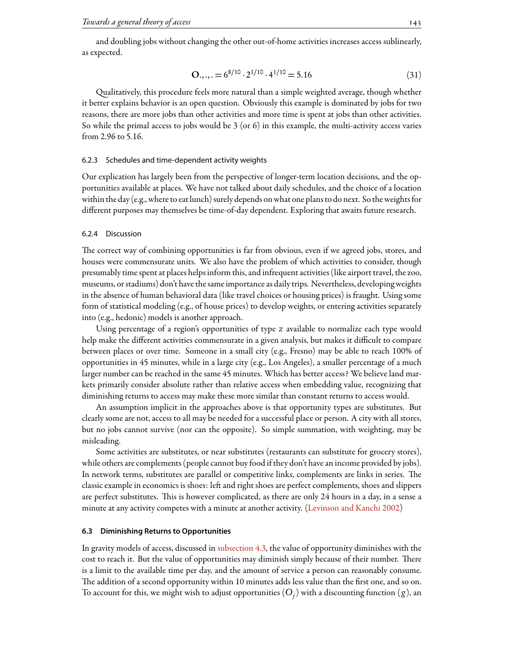and doubling jobs without changing the other out-of-home activities increases access sublinearly, as expected.

$$
O.,.,. = 6^{8/10} \cdot 2^{1/10} \cdot 4^{1/10} = 5.16
$$
 (31)

ualitatively, this procedure feels more natural than a simple weighted average, though whether it better explains behavior is an open question. Obviously this example is dominated by jobs for two reasons, there are more jobs than other activities and more time is spent at jobs than other activities. So while the primal access to jobs would be 3 (or 6) in this example, the multi-activity access varies from 2.96 to 5.16.

# 6.2.3 Schedules and time-dependent activity weights

Our explication has largely been from the perspective of longer-term location decisions, and the opportunities available at places. We have not talked about daily schedules, and the choice of a location within the day (e.g., where to eat lunch) surely depends on what one plans to do next. So the weights for different purposes may themselves be time-of-day dependent. Exploring that awaits future research.

# 6.2.4 Discussion

The correct way of combining opportunities is far from obvious, even if we agreed jobs, stores, and houses were commensurate units. We also have the problem of which activities to consider, though presumably time spent at places helps inform this, and infrequent activities (like airport travel, the zoo, museums, or stadiums) don't have the same importance as daily trips. Nevertheless, developing weights in the absence of human behavioral data (like travel choices or housing prices) is fraught. Using some form of statistical modeling (e.g., of house prices) to develop weights, or entering activities separately into (e.g., hedonic) models is another approach.

Using percentage of a region's opportunities of type *z* available to normalize each type would help make the different activities commensurate in a given analysis, but makes it difficult to compare between places or over time. Someone in a small city (e.g., Fresno) may be able to reach 100% of opportunities in 45 minutes, while in a large city (e.g., Los Angeles), a smaller percentage of a much larger number can be reached in the same 45 minutes. Which has better access? We believe land markets primarily consider absolute rather than relative access when embedding value, recognizing that diminishing returns to access may make these more similar than constant returns to access would.

An assumption implicit in the approaches above is that opportunity types are substitutes. But clearly some are not, access to all may be needed for a successful place or person. A city with all stores, but no jobs cannot survive (nor can the opposite). So simple summation, with weighting, may be misleading.

Some activities are substitutes, or near substitutes (restaurants can substitute for grocery stores), while others are complements (people cannot buy food if they don't have an income provided by jobs). In network terms, substitutes are parallel or competitive links, complements are links in series. The classic example in economics is shoes: left and right shoes are perfect complements, shoes and slippers are perfect substitutes. This is however complicated, as there are only 24 hours in a day, in a sense a minute at any activity competes with a minute at another activity.([Levinson and Kanchi](#page-26-20) [2002\)](#page-26-20)

# <span id="page-14-0"></span>**6.3 Diminishing Returns to Opportunities**

In gravity models of access, discussed in [subsection 4.3,](#page-9-1) the value of opportunity diminishes with the cost to reach it. But the value of opportunities may diminish simply because of their number. There is a limit to the available time per day, and the amount of service a person can reasonably consume. The addition of a second opportunity within 10 minutes adds less value than the first one, and so on. To account for this, we might wish to adjust opportunities  $(O_j^{})$  with a discounting function  $(g)$ , an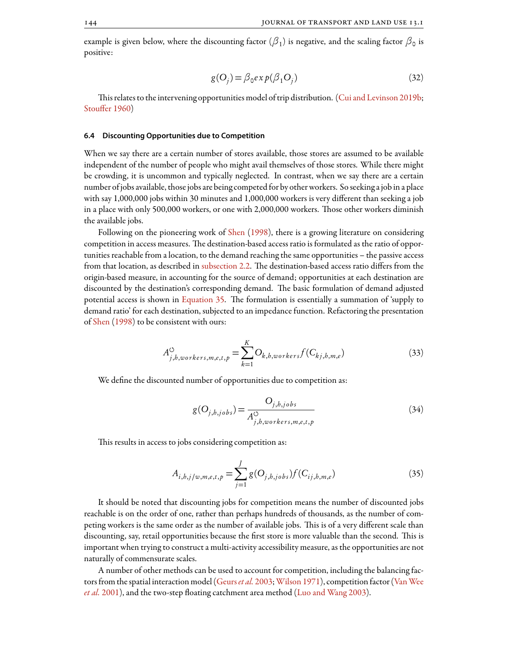example is given below, where the discounting factor  $(\beta_1)$  is negative, and the scaling factor  $\beta_0$  is positive:

$$
g(O_j) = \beta_0 exp(\beta_1 O_j)
$$
\n(32)

Thisrelates to the intervening opportunities model of trip distribution. ([Cui and Levinson](#page-24-2) [2019b](#page-24-2); [Stouffer](#page-28-21) [1960](#page-28-21))

### <span id="page-15-0"></span>**6.4 Discounting Opportunities due to Competition**

When we say there are a certain number of stores available, those stores are assumed to be available independent of the number of people who might avail themselves of those stores. While there might be crowding, it is uncommon and typically neglected. In contrast, when we say there are a certain number of jobs available, those jobs are being competedfor by other workers. So seeking a job in a place with say 1,000,000 jobs within 30 minutes and 1,000,000 workers is very different than seeking a job in a place with only 500,000 workers, or one with 2,000,000 workers. Those other workers diminish the available jobs.

Following on the pioneering work of [Shen](#page-28-2) [\(1998](#page-28-2)), there is a growing literature on considering competition in access measures. The destination-based access ratio is formulated as the ratio of opportunities reachable from a location, to the demand reaching the same opportunities – the passive access from that location, as described in [subsection 2.2](#page-3-3). The destination-based access ratio differs from the origin-based measure, in accounting for the source of demand; opportunities at each destination are discounted by the destination's corresponding demand. The basic formulation of demand adjusted potential access is shown in [Equation 35.](#page-15-1) The formulation is essentially a summation of 'supply to demand ratio' for each destination, subjected to an impedance function. Refactoring the presentation of [Shen](#page-28-2) ([1998](#page-28-2)) to be consistent with ours:

$$
A_{j,b,workers,m,e,t,p}^{\circlearrowleft} = \sum_{k=1}^{K} O_{k,b,workers} f(C_{kj,b,m,e}) \tag{33}
$$

We define the discounted number of opportunities due to competition as:

$$
g(O_{j,h,jobs}) = \frac{O_{j,h,jobs}}{A_{j,h,workers,m,e,t,p}^{\circlearrowleft}
$$
\n(34)

<span id="page-15-1"></span>This results in access to jobs considering competition as:

$$
A_{i,b,j/w,m,e,t,p} = \sum_{j=1}^{J} g(O_{j,b,jobs}) f(C_{ij,b,m,e})
$$
\n(35)

It should be noted that discounting jobs for competition means the number of discounted jobs reachable is on the order of one, rather than perhaps hundreds of thousands, as the number of competing workers is the same order as the number of available jobs. This is of a very different scale than discounting, say, retail opportunities because the first store is more valuable than the second. This is important when trying to construct a multi-activity accessibility measure, as the opportunities are not naturally of commensurate scales.

A number of other methods can be used to account for competition, including the balancing factorsfrom the spatial interaction model [\(Geurs](#page-25-4)*et al.* [2003;](#page-25-4)[Wilson](#page-29-12) [1971\)](#page-29-12), competitionfactor [\(VanWee](#page-28-20) *[et al.](#page-28-20)* [2001](#page-28-20)), and the two-step floating catchment area method([Luo and Wang](#page-26-21) [2003](#page-26-21)).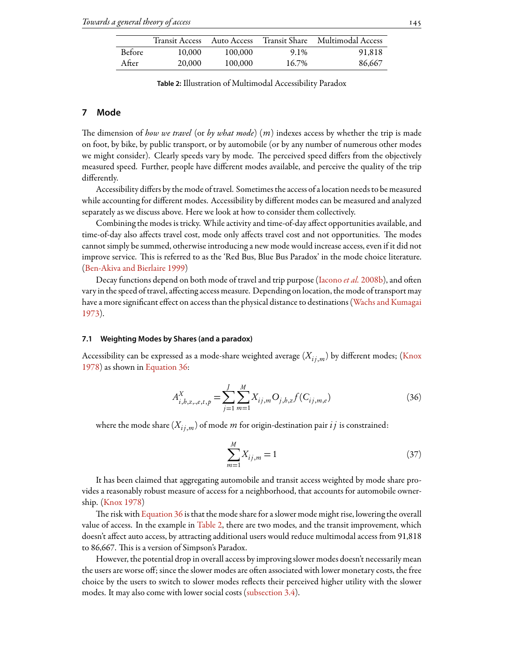<span id="page-16-2"></span>

|               | Transit Access | Auto Access | Transit Share | Multimodal Access |
|---------------|----------------|-------------|---------------|-------------------|
| <b>Before</b> | 10,000         | 100,000     | 9.1%          | 91,818            |
| After         | 20,000         | 100,000     | 16.7%         | 86,667            |

**Table 2:** Illustration of Multimodal Accessibility Paradox

# <span id="page-16-0"></span>**7 Mode**

e dimension of *how we travel* (or *by what mode*) (*m*) indexes access by whether the trip is made on foot, by bike, by public transport, or by automobile (or by any number of numerous other modes we might consider). Clearly speeds vary by mode. The perceived speed differs from the objectively measured speed. Further, people have different modes available, and perceive the quality of the trip differently.

Accessibility differs by the mode of travel. Sometimes the access of a location needs to be measured while accounting for different modes. Accessibility by different modes can be measured and analyzed separately as we discuss above. Here we look at how to consider them collectively.

Combining the modes is tricky. While activity and time-of-day affect opportunities available, and time-of-day also affects travel cost, mode only affects travel cost and not opportunities. The modes cannot simply be summed, otherwise introducing a new mode would increase access, even if it did not improve service. This is referred to as the 'Red Bus, Blue Bus Paradox' in the mode choice literature. ([Ben-Akiva and Bierlaire](#page-24-20) [1999\)](#page-24-20)

Decayfunctions depend on both mode of travel and trip purpose ([Iacono](#page-26-17) *et al.* [2008b](#page-26-17)), and often vary in the speed of travel, affecting access measure. Depending on location, the mode of transport may have a more significant effect on access than the physical distance to destinations [\(Wachs and Kumagai](#page-29-3) [1973](#page-29-3)).

### <span id="page-16-3"></span>**7.1 Weighting Modes by Shares (and a paradox)**

<span id="page-16-1"></span>Accessibility can be expressed as a mode-share weighted average  $(X_{i}, j_{m})$  by different modes; [\(Knox](#page-26-19) [1978](#page-26-19)) as shown in [Equation 36:](#page-16-1)

$$
A_{i,b,z,,e,t,p}^{X} = \sum_{j=1}^{J} \sum_{m=1}^{M} X_{ij,m} O_{j,b,z} f(C_{ij,m,e})
$$
\n(36)

where the mode share  $(X_{i,j,m})$  of mode *m* for origin-destination pair  $ij$  is constrained:

$$
\sum_{m=1}^{M} X_{ij,m} = 1
$$
\n(37)

It has been claimed that aggregating automobile and transit access weighted by mode share provides a reasonably robust measure of access for a neighborhood, that accounts for automobile ownership. [\(Knox](#page-26-19) [1978](#page-26-19))

The risk with [Equation 36](#page-16-1) is that the mode share for a slower mode might rise, lowering the overall value of access. In the example in [Table 2,](#page-16-2) there are two modes, and the transit improvement, which doesn't affect auto access, by attracting additional users would reduce multimodal access from 91,818 to 86,667. This is a version of Simpson's Paradox.

However, the potential drop in overall access by improving slower modes doesn't necessarily mean the users are worse off; since the slower modes are often associated with lower monetary costs, the free choice by the users to switch to slower modes reflects their perceived higher utility with the slower modes. It may also come with lower social costs([subsection 3.4](#page-7-1)).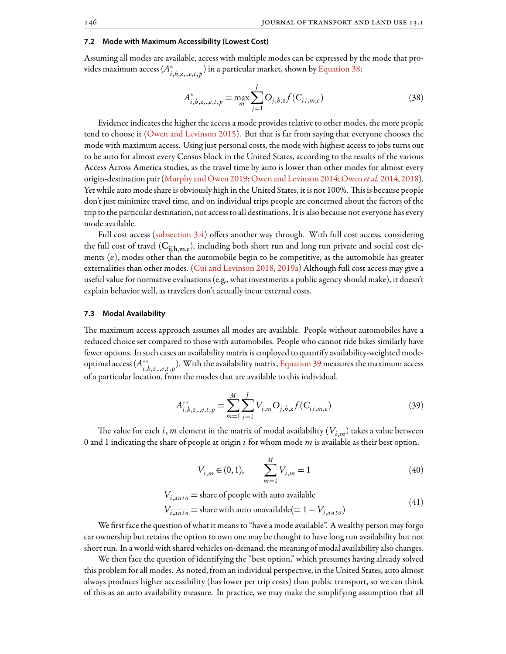# <span id="page-17-2"></span>**7.2 Mode with Maximum Accessibility (Lowest Cost)**

<span id="page-17-0"></span>Assuming all modes are available, access with multiple modes can be expressed by the mode that provides maximum access (*A ∗ i*,*h*,*z*,.,*e*,*t*, *p* ) in a particular market, shown by [Equation 38](#page-17-0):

$$
A_{i,b,z,,e,t,p}^* = \max_{m} \sum_{j=1}^{J} O_{j,b,z} f(C_{ij,m,e})
$$
\n(38)

Evidence indicates the higher the access a mode provides relative to other modes, the more people tend to choose it([Owen and Levinson](#page-27-2) [2015\)](#page-27-2). But that is far from saying that everyone chooses the mode with maximum access. Using just personal costs, the mode with highest access to jobs turns out to be auto for almost every Census block in the United States, according to the results of the various Access Across America studies, as the travel time by auto is lower than other modes for almost every origin-destination pair [\(Murphy and Owen](#page-27-16) [2019;](#page-27-16)[Owen and Levinson](#page-27-17) [2014;](#page-27-17)[Owen](#page-27-18) *et al.* [2014,](#page-27-18) [2018\)](#page-27-19). Yet while auto mode share is obviously high in the United States, it is not 100%. This is because people don't just minimize travel time, and on individual trips people are concerned about the factors of the trip to the particular destination, not access to all destinations. It is also because not everyone has every mode available.

Full cost access [\(subsection 3.4](#page-7-1)) offers another way through. With full cost access, considering the full cost of travel ( $\rm C_{ij,h,m,e}$ ), including both short run and long run private and social cost elements (*e*), modes other than the automobile begin to be competitive, as the automobile has greater externalities than other modes. [\(Cui and Levinson](#page-24-12) [2018](#page-24-12), [2019a](#page-24-4)) Although full cost access may give a useful value for normative evaluations (e.g., what investments a public agency should make), it doesn't explain behavior well, as travelers don't actually incur external costs.

## <span id="page-17-3"></span>**7.3 Modal Availability**

e maximum access approach assumes all modes are available. People without automobiles have a reduced choice set compared to those with automobiles. People who cannot ride bikes similarly have fewer options. In such cases an availability matrix is employed to quantify availability-weighted modeoptimal access (*A ∗∗ i*,*h*,*z*,.,*e*,*t*, *p* ). With the availability matrix, [Equation 39](#page-17-1) measures the maximum access of a particular location, from the modes that are available to this individual.

$$
A_{i,b,z,,e,t,p}^{**} = \sum_{m=1}^{M} \sum_{j=1}^{J} V_{i,m} O_{j,b,z} f(C_{ij,m,e})
$$
\n(39)

<span id="page-17-1"></span>The value for each  $i$ ,  $m$  element in the matrix of modal availability ( $V_{i,m}$ ) takes a value between 0 and 1 indicating the share of people at origin *i* for whom mode *m* is available as their best option.

$$
V_{i,m} \in (0,1), \qquad \sum_{m=1}^{M} V_{i,m} = 1 \tag{40}
$$

$$
V_{i,auto} = \text{share of people with auto available}
$$
  

$$
V_{i,auto} = \text{share with auto unavailable} (= 1 - V_{i,auto})
$$
 (41)

We first face the question of what it means to "have a mode available". A wealthy person may forgo car ownership but retains the option to own one may be thought to have long run availability but not short run. In a world with shared vehicles on-demand, the meaning of modal availability also changes.

We then face the question of identifying the "best option," which presumes having already solved this problem for all modes. As noted, from an individual perspective, in the United States, auto almost always produces higher accessibility (has lower per trip costs) than public transport, so we can think of this as an auto availability measure. In practice, we may make the simplifying assumption that all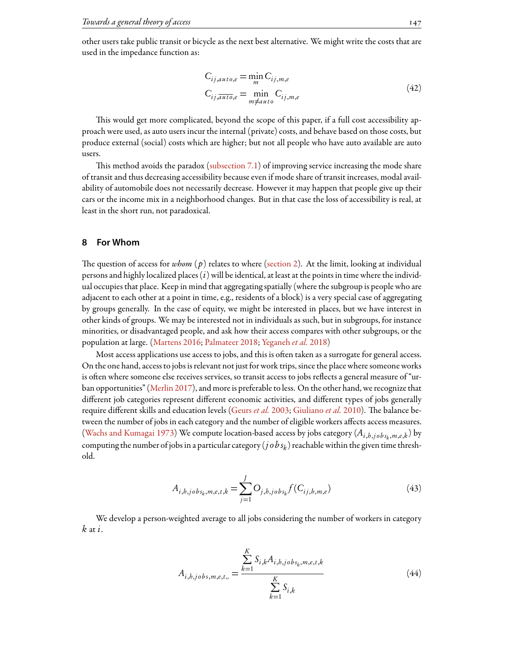other users take public transit or bicycle as the next best alternative. We might write the costs that are used in the impedance function as:

$$
C_{ij,auto,e} = \min_{m} C_{ij,m,e}
$$
  
\n
$$
C_{ij,\overline{auto},e} = \min_{m \neq auto} C_{ij,m,e}
$$
\n(42)

This would get more complicated, beyond the scope of this paper, if a full cost accessibility approach were used, as auto users incur the internal (private) costs, and behave based on those costs, but produce external (social) costs which are higher; but not all people who have auto available are auto users.

Thismethod avoids the paradox (subsection  $7.1$ ) of improving service increasing the mode share of transit and thus decreasing accessibility because even if mode share of transit increases, modal availability of automobile does not necessarily decrease. However it may happen that people give up their cars or the income mix in a neighborhood changes. But in that case the loss of accessibility is real, at least in the short run, not paradoxical.

# <span id="page-18-0"></span>**8 For Whom**

The question of access for *whom*  $(p)$  relates to where [\(section 2](#page-2-0)). At the limit, looking at individual persons and highly localized places (*i*) will be identical, at least at the points in time where the individual occupies that place. Keep in mind that aggregating spatially (where the subgroup is people who are adjacent to each other at a point in time, e.g., residents of a block) is a very special case of aggregating by groups generally. In the case of equity, we might be interested in places, but we have interest in other kinds of groups. We may be interested not in individuals as such, but in subgroups, for instance minorities, or disadvantaged people, and ask how their access compares with other subgroups, or the population at large. [\(Martens](#page-27-20) [2016;](#page-27-20) [Palmateer](#page-27-21) [2018](#page-27-21); [Yeganeh](#page-29-13) *et al.* [2018](#page-29-13))

Most access applications use access to jobs, and this is often taken as a surrogate for general access. On the one hand, access to jobs is relevant not just for work trips, since the place where someone works is often where someone else receives services, so transit access to jobs reflects a general measure of "urban opportunities" [\(Merlin](#page-27-22) [2017\)](#page-27-22), and more is preferable to less. On the other hand, we recognize that different job categories represent different economic activities, and different types of jobs generally requiredifferent skills and education levels ([Geurs](#page-25-4) *et al.* [2003;](#page-25-4) [Giuliano](#page-25-21) *et al.* [2010\)](#page-25-21). The balance between the number of jobs in each category and the number of eligible workers affects access measures. ([Wachs and Kumagai](#page-29-3) [1973\)](#page-29-3) We compute location-based access by jobs category  $(A_{i,h,j \, obs_k,m,e,k})$  by computing the number of jobs in a particular category (  $j$   $o$   $b$   $_{\rm{S}}$  ) reachable within the given time threshold.

$$
A_{i,k,j_0b s_k, m,e,t,k} = \sum_{j=1}^{J} O_{j,k,j_0b s_k} f(C_{ij,k,m,e})
$$
\n(43)

We develop a person-weighted average to all jobs considering the number of workers in category *k* at *i*.

$$
A_{i,k,jobs,m,e,t,:} = \frac{\sum_{k=1}^{K} S_{i,k} A_{i,k,jobs_k,m,e,t,k}}{\sum_{k=1}^{K} S_{i,k}}
$$
(44)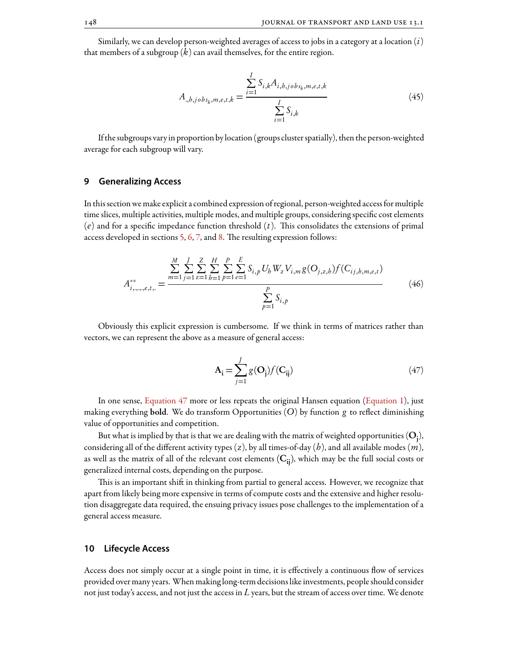Similarly, we can develop person-weighted averages of access to jobs in a category at a location (*i*) that members of a subgroup (*k*) can avail themselves, for the entire region.

$$
A_{.,b,jobs_k,m,e,t,k} = \frac{\sum_{i=1}^{I} S_{i,k} A_{i,b,jobs_k,m,e,t,k}}{\sum_{i=1}^{I} S_{i,k}}
$$
(45)

If the subgroups vary in proportion by location (groups cluster spatially), then the person-weighted average for each subgroup will vary.

# <span id="page-19-0"></span>**9 Generalizing Access**

In this section we make explicit a combined expression of regional, person-weighted accessfor multiple time slices, multiple activities, multiple modes, and multiple groups, considering specific cost elements  $(e)$  and for a specific impedance function threshold  $(t)$ . This consolidates the extensions of primal access developed in sections [5,](#page-10-0) [6,](#page-11-0) [7](#page-16-0), and [8.](#page-18-0) The resulting expression follows:

$$
A_{i,\ldots,e,t,\ldots}^{**} = \frac{\sum_{m=1}^{M} \sum_{j=1}^{J} \sum_{z=1}^{Z} \sum_{b=1}^{H} \sum_{p=1}^{P} \sum_{e=1}^{E} S_{i,p} U_{b} W_{z} V_{i,m} g(O_{j,z,b}) f(C_{ij,b,m,e,t})}{\sum_{p=1}^{P} S_{i,p}}
$$
(46)

<span id="page-19-2"></span>Obviously this explicit expression is cumbersome. If we think in terms of matrices rather than vectors, we can represent the above as a measure of general access:

$$
\mathbf{A}_{\mathbf{i}} = \sum_{j=1}^{J} g(\mathbf{O}_{\mathbf{j}}) f(\mathbf{C}_{\mathbf{ij}})
$$
(47)

In one sense, [Equation 47](#page-19-2) more or less repeats the original Hansen equation([Equation 1\)](#page-3-1), just making everything bold. We do transform Opportunities (*O*) by function *g* to reflect diminishing value of opportunities and competition.

But what is implied by that is that we are dealing with the matrix of weighted opportunities  $(\rm O_j)$ , considering all of the different activity types (*z*), by all times-of-day (*h*), and all available modes (*m*), as well as the matrix of all of the relevant cost elements  $(C_{ii})$ , which may be the full social costs or generalized internal costs, depending on the purpose.

This is an important shift in thinking from partial to general access. However, we recognize that apart from likely being more expensive in terms of compute costs and the extensive and higher resolution disaggregate data required, the ensuing privacy issues pose challenges to the implementation of a general access measure.

# <span id="page-19-1"></span>**10 Lifecycle Access**

Access does not simply occur at a single point in time, it is effectively a continuous flow of services provided over many years. When making long-term decisions like investments, people should consider not just today's access, and not just the access in *L* years, but the stream of access over time. We denote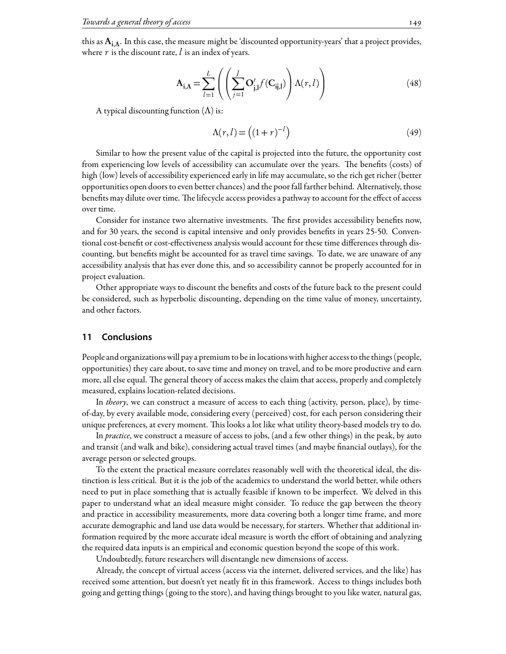this as  $A_{i,\Lambda}$ . In this case, the measure might be 'discounted opportunity-years' that a project provides, where  $r$  is the discount rate,  $l$  is an index of years.

$$
\mathbf{A}_{\mathbf{i},\Lambda} = \sum_{l=1}^{L} \left( \left( \sum_{j=1}^{J} \mathbf{O}'_{\mathbf{j},l} f(\mathbf{C}_{\mathbf{i},l}) \right) \Lambda(r,l) \right) \tag{48}
$$

A typical discounting function  $(\Lambda)$  is:

$$
\Lambda(r,l) = \left( (1+r)^{-l} \right) \tag{49}
$$

Similar to how the present value of the capital is projected into the future, the opportunity cost from experiencing low levels of accessibility can accumulate over the years. The benefits (costs) of high (low) levels of accessibility experienced early in life may accumulate, so the rich get richer (better opportunities open doors to even better chances) and the poor fall farther behind. Alternatively, those benefits may dilute over time. The lifecycle access provides a pathway to account for the effect of access over time.

Consider for instance two alternative investments. The first provides accessibility benefits now, and for 30 years, the second is capital intensive and only provides benefits in years 25-50. Conventional cost-benefit or cost-effectiveness analysis would account for these time differences through discounting, but benefits might be accounted for as travel time savings. To date, we are unaware of any accessibility analysis that has ever done this, and so accessibility cannot be properly accounted for in project evaluation.

Other appropriate ways to discount the benefits and costs of the future back to the present could be considered, such as hyperbolic discounting, depending on the time value of money, uncertainty, and other factors.

# <span id="page-20-0"></span>**11 Conclusions**

People and organizations will pay a premium to be in locations with higher access to the things (people, opportunities) they care about, to save time and money on travel, and to be more productive and earn more, all else equal. The general theory of access makes the claim that access, properly and completely measured, explains location-related decisions.

In *theory*, we can construct a measure of access to each thing (activity, person, place), by timeof-day, by every available mode, considering every (perceived) cost, for each person considering their unique preferences, at every moment. This looks a lot like what utility theory-based models try to do.

In *practice*, we construct a measure of access to jobs, (and a few other things) in the peak, by auto and transit (and walk and bike), considering actual travel times (and maybe financial outlays), for the average person or selected groups.

To the extent the practical measure correlates reasonably well with the theoretical ideal, the distinction is less critical. But it is the job of the academics to understand the world better, while others need to put in place something that is actually feasible if known to be imperfect. We delved in this paper to understand what an ideal measure might consider. To reduce the gap between the theory and practice in accessibility measurements, more data covering both a longer time frame, and more accurate demographic and land use data would be necessary, for starters. Whether that additional information required by the more accurate ideal measure is worth the effort of obtaining and analyzing the required data inputs is an empirical and economic question beyond the scope of this work.

Undoubtedly, future researchers will disentangle new dimensions of access.

Already, the concept of virtual access (access via the internet, delivered services, and the like) has received some attention, but doesn't yet neatly fit in this framework. Access to things includes both going and getting things (going to the store), and having things brought to you like water, natural gas,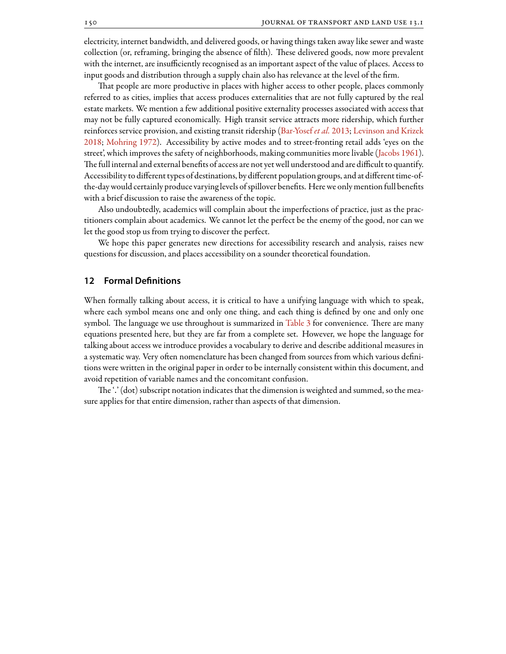electricity, internet bandwidth, and delivered goods, or having things taken away like sewer and waste collection (or, reframing, bringing the absence of filth). These delivered goods, now more prevalent with the internet, are insufficiently recognised as an important aspect of the value of places. Access to input goods and distribution through a supply chain also has relevance at the level of the firm.

That people are more productive in places with higher access to other people, places commonly referred to as cities, implies that access produces externalities that are not fully captured by the real estate markets. We mention a few additional positive externality processes associated with access that may not be fully captured economically. High transit service attracts more ridership, which further reinforces service provision, and existing transit ridership([Bar-Yosef](#page-24-21) *et al.* [2013;](#page-24-21) [Levinson and Krizek](#page-26-22) [2018;](#page-26-22) [Mohring](#page-27-23) [1972\)](#page-27-23). Accessibility by active modes and to street-fronting retail adds 'eyes on the street', which improves the safety of neighborhoods, making communities more livable([Jacobs](#page-26-23) [1961\)](#page-26-23). The full internal and external benefits of access are not yet well understood and are difficult to quantify. Accessibility to different types of destinations, by different population groups, and at different time-ofthe-day would certainly produce varying levels of spillover benefits. Here we only mentionfull benefits with a brief discussion to raise the awareness of the topic.

Also undoubtedly, academics will complain about the imperfections of practice, just as the practitioners complain about academics. We cannot let the perfect be the enemy of the good, nor can we let the good stop us from trying to discover the perfect.

We hope this paper generates new directions for accessibility research and analysis, raises new questions for discussion, and places accessibility on a sounder theoretical foundation.

# **12 Formal Definitions**

When formally talking about access, it is critical to have a unifying language with which to speak, where each symbol means one and only one thing, and each thing is defined by one and only one symbol. The language we use throughout is summarized in [Table 3](#page-22-0) for convenience. There are many equations presented here, but they are far from a complete set. However, we hope the language for talking about access we introduce provides a vocabulary to derive and describe additional measures in a systematic way. Very often nomenclature has been changed from sources from which various definitions were written in the original paper in order to be internally consistent within this document, and avoid repetition of variable names and the concomitant confusion.

The '.' (dot) subscript notation indicates that the dimension is weighted and summed, so the measure applies for that entire dimension, rather than aspects of that dimension.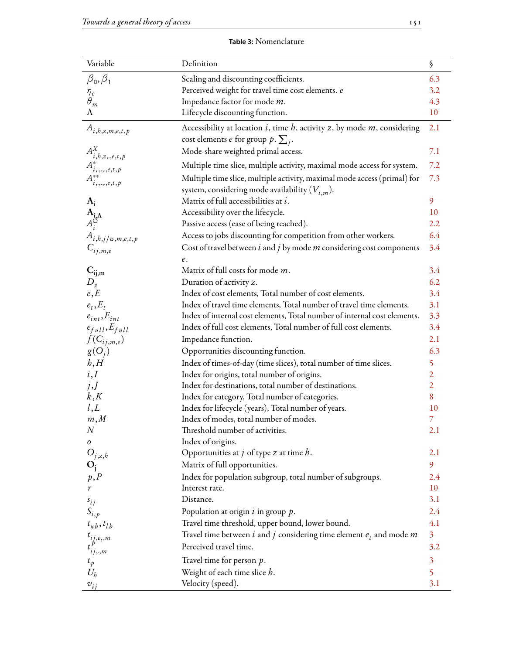| <b>Table 3:</b> Nomenclature |  |
|------------------------------|--|
|------------------------------|--|

<span id="page-22-0"></span>

| Variable                                                                                                   | Definition                                                                                      | $\boldsymbol{\S}$ |
|------------------------------------------------------------------------------------------------------------|-------------------------------------------------------------------------------------------------|-------------------|
| $\beta_0, \beta_1$                                                                                         | Scaling and discounting coefficients.                                                           | 6.3               |
|                                                                                                            | Perceived weight for travel time cost elements. e                                               | 3.2               |
| $\overset{\eta_e}{\theta}_m$                                                                               | Impedance factor for mode m.                                                                    | 4.3               |
| Λ                                                                                                          | Lifecycle discounting function.                                                                 | 10                |
| $A_{i,b,z,m,e,t,p}$                                                                                        | Accessibility at location $i$ , time $h$ , activity $z$ , by mode $m$ , considering             | 2.1               |
|                                                                                                            | cost elements <i>e</i> for group $p \cdot \sum_j$ .                                             |                   |
|                                                                                                            | Mode-share weighted primal access.                                                              | 7.1               |
| $\begin{array}{c} A^{X}_{i,b,z,,e,t,p}\\ A^{*}_{i,,\ldots,e,t,p}\\ A^{**}_{i,,\ldots,e,t,p}\\ \end{array}$ | Multiple time slice, multiple activity, maximal mode access for system.                         | 7.2               |
|                                                                                                            | Multiple time slice, multiple activity, maximal mode access (primal) for                        | 7.3               |
|                                                                                                            | system, considering mode availability $(V_{i,m})$ .                                             |                   |
| $A_i$                                                                                                      | Matrix of full accessibilities at i.                                                            | 9                 |
|                                                                                                            | Accessibility over the lifecycle.                                                               | 10                |
|                                                                                                            | Passive access (ease of being reached).                                                         | 2.2               |
| $\mathbf{A}_{\mathbf{i},\mathbf{\Lambda}}$<br>$A_i^{\circ}$<br>$A_{i,b,j/w,m,e,t,p}$<br>$C_{ij,m,e}$       | Access to jobs discounting for competition from other workers.                                  | 6.4               |
|                                                                                                            | Cost of travel between $i$ and $j$ by mode $m$ considering cost components                      | 3.4               |
|                                                                                                            | $\ell.$                                                                                         |                   |
|                                                                                                            | Matrix of full costs for mode m.                                                                | 3.4               |
| $\mathbf{C}_{\mathbf{ij},\mathbf{m}}$ $D_{\mathbf{z}}$                                                     | Duration of activity z.                                                                         | 6.2               |
| e, E                                                                                                       | Index of cost elements, Total number of cost elements.                                          | 3.4               |
| $e_t, E_t$                                                                                                 | Index of travel time elements, Total number of travel time elements.                            | 3.1               |
| $e_{int}$ , $E_{int}$                                                                                      | Index of internal cost elements, Total number of internal cost elements.                        | 3.3               |
| $e_{full}, E_{full}$                                                                                       | Index of full cost elements, Total number of full cost elements.                                | 3.4               |
| $f(C_{ij,m,e})$                                                                                            | Impedance function.                                                                             | 2.1               |
| $g(O_j)$                                                                                                   | Opportunities discounting function.                                                             | 6.3               |
| h, H                                                                                                       | Index of times-of-day (time slices), total number of time slices.                               | 5                 |
| i, I                                                                                                       | Index for origins, total number of origins.                                                     | $\overline{2}$    |
| j, J                                                                                                       | Index for destinations, total number of destinations.                                           | $\overline{2}$    |
| k, K                                                                                                       | Index for category, Total number of categories.                                                 | 8                 |
| l, L                                                                                                       | Index for lifecycle (years), Total number of years.                                             | 10                |
| m, M                                                                                                       | Index of modes, total number of modes.                                                          | 7                 |
| $\boldsymbol{N}$                                                                                           | Threshold number of activities.                                                                 | 2.1               |
| 0                                                                                                          | Index of origins.                                                                               |                   |
|                                                                                                            | Opportunities at $j$ of type $z$ at time $h$ .                                                  | 2.1               |
| $\mathcal{O}_{j,z,b}$ $\mathcal{O}_{\mathfrak{j}}$                                                         | Matrix of full opportunities.                                                                   | 9                 |
| p, P                                                                                                       | Index for population subgroup, total number of subgroups.                                       | 2.4               |
| $\boldsymbol{r}$                                                                                           | Interest rate.                                                                                  | 10                |
|                                                                                                            | Distance.                                                                                       | 3.1               |
| $s_{ij}$                                                                                                   | Population at origin $i$ in group $p$ .                                                         | 2.4               |
| $S_{i,p}$                                                                                                  | Travel time threshold, upper bound, lower bound.                                                | 4.1               |
| $t_{ub}$ , $t_{lb}$                                                                                        |                                                                                                 | 3 <sup>1</sup>    |
| $t_{ij,e_t,m} \\ t_{ij,,m}^P$                                                                              | Travel time between i and j considering time element $e_t$ and mode m<br>Perceived travel time. |                   |
|                                                                                                            |                                                                                                 | 3.2               |
| $\overset{t_p}{U_b}$                                                                                       | Travel time for person $p$ .                                                                    | $\overline{3}$    |
|                                                                                                            | Weight of each time slice $h$ .                                                                 | 5                 |
| $v_{ij}$                                                                                                   | Velocity (speed).                                                                               | 3.1               |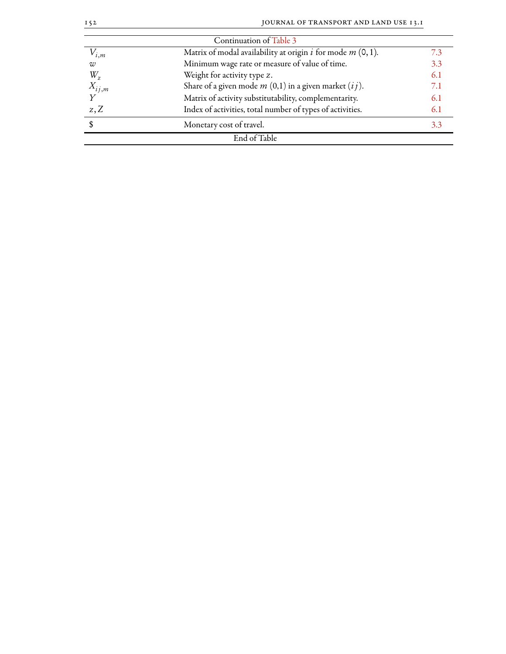| $I\leq 2$            | JOURNAL OF TRANSPORT AND LAND USE 13.1                        |     |
|----------------------|---------------------------------------------------------------|-----|
|                      | Continuation of Table 3                                       |     |
| $V_{i,m}$            | Matrix of modal availability at origin i for mode $m$ (0, 1). | 7.3 |
| W                    | Minimum wage rate or measure of value of time.                | 3.3 |
| $W_{z}$              | Weight for activity type z.                                   | 6.1 |
| $\frac{X_{ij,m}}{Y}$ | Share of a given mode $m(0,1)$ in a given market $(ij)$ .     | 7.1 |
|                      | Matrix of activity substitutability, complementarity.         | 6.1 |
| $z, \overline{Z}$    | Index of activities, total number of types of activities.     | 6.1 |
| \$                   | Monetary cost of travel.                                      | 3.3 |
|                      | End of Table                                                  |     |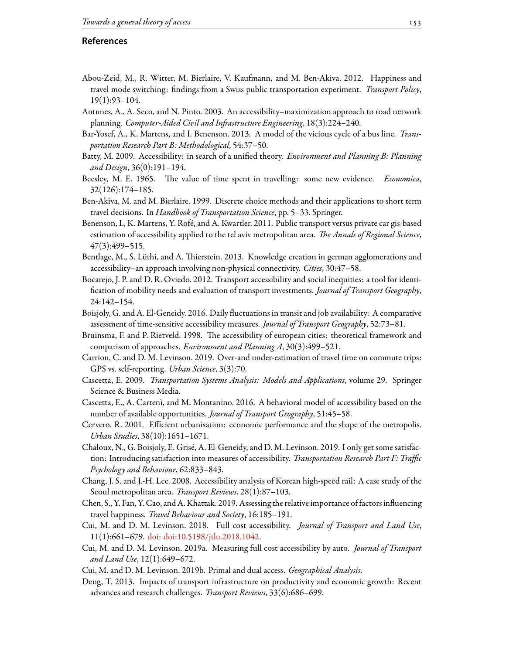# **References**

- <span id="page-24-8"></span>Abou-Zeid, M., R. Witter, M. Bierlaire, V. Kaufmann, and M. Ben-Akiva. 2012. Happiness and travel mode switching: findings from a Swiss public transportation experiment. *Transport Policy*, 19(1):93–104.
- <span id="page-24-19"></span>Antunes, A., A. Seco, and N. Pinto. 2003. An accessibility–maximization approach to road network planning. *Computer-Aided Civil and Inastructure Engineering*, 18(3):224–240.
- <span id="page-24-21"></span>Bar-Yosef, A., K. Martens, and I. Benenson. 2013. A model of the vicious cycle of a bus line. *Transportation Research Part B: Methodological*, 54:37–50.
- <span id="page-24-13"></span>Batty, M. 2009. Accessibility: in search of a unified theory. *Environment and Planning B: Planning and Design*, 36(0):191–194.
- <span id="page-24-11"></span>Beesley, M. E. 1965. The value of time spent in travelling: some new evidence. *Economica*, 32(126):174–185.
- <span id="page-24-20"></span>Ben-Akiva, M. and M. Bierlaire. 1999. Discrete choice methods and their applications to short term travel decisions. In *Handbook of Transportation Science*, pp. 5–33. Springer.
- <span id="page-24-5"></span>Benenson, I., K. Martens, Y. Rofé, and A. Kwartler. 2011. Public transport versus private car gis-based estimation of accessibility applied to the tel aviv metropolitan area. *The Annals of Regional Science*, 47(3):499–515.
- <span id="page-24-18"></span>Bentlage, M., S. Lüthi, and A. Thierstein. 2013. Knowledge creation in german agglomerations and accessibility–an approach involving non-physical connectivity. *Cities*, 30:47–58.
- <span id="page-24-14"></span>Bocarejo, J. P. and D. R. Oviedo. 2012. Transport accessibility and social inequities: a tool for identification of mobility needs and evaluation of transport investments. *Journal of Transport Geography*, 24:142–154.
- <span id="page-24-16"></span>Boisjoly, G. and A. El-Geneidy. 2016. Daily fluctuations in transit and job availability: A comparative assessment of time-sensitive accessibility measures. *Journal of Transport Geography*, 52:73–81.
- <span id="page-24-15"></span>Bruinsma, F. and P. Rietveld. 1998. The accessibility of european cities: theoretical framework and comparison of approaches. *Environment and Planning A*, 30(3):499–521.
- <span id="page-24-6"></span>Carrion, C. and D. M. Levinson. 2019. Over-and under-estimation of travel time on commute trips: GPS vs. self-reporting. *Urban Science*, 3(3):70.
- <span id="page-24-3"></span>Cascetta, E. 2009. *Transportation Systems Analysis: Models and Applications*, volume 29. Springer Science & Business Media.
- <span id="page-24-17"></span>Cascetta, E., A. Cartenì, and M. Montanino. 2016. A behavioral model of accessibility based on the number of available opportunities. *Journal of Transport Geography*, 51:45–58.
- <span id="page-24-0"></span>Cervero, R. 2001. Efficient urbanisation: economic performance and the shape of the metropolis. *Urban Studies*, 38(10):1651–1671.
- <span id="page-24-10"></span>Chaloux, N., G. Boisjoly, E. Grisé, A. El-Geneidy, and D. M. Levinson. 2019. I only get some satisfaction: Introducing satisfaction into measures of accessibility. *Transportation Research Part F: Traffic Psychology and Behaviour*, 62:833–843.
- <span id="page-24-7"></span>Chang, J. S. and J.-H. Lee. 2008. Accessibility analysis of Korean high-speed rail: A case study of the Seoul metropolitan area. *Transport Reviews*, 28(1):87–103.
- <span id="page-24-9"></span>Chen, S., Y. Fan, Y. Cao, and A. Khattak. 2019. Assessing the relative importance offactors influencing travel happiness. *Travel Behaviour and Society*, 16:185–191.
- <span id="page-24-12"></span>Cui, M. and D. M. Levinson. 2018. Full cost accessibility. *Journal of Transport and Land Use*, 11(1):661–679. [doi: doi:10.5198/jtlu.2018.1042.](http://dx.doi.org/doi:10.5198/jtlu.2018.1042)
- <span id="page-24-4"></span>Cui, M. and D. M. Levinson. 2019a. Measuring full cost accessibility by auto. *Journal of Transport and Land Use*, 12(1):649–672.
- <span id="page-24-2"></span>Cui, M. and D. M. Levinson. 2019b. Primal and dual access. *Geographical Analysis*.
- <span id="page-24-1"></span>Deng, T. 2013. Impacts of transport infrastructure on productivity and economic growth: Recent advances and research challenges. *Transport Reviews*, 33(6):686–699.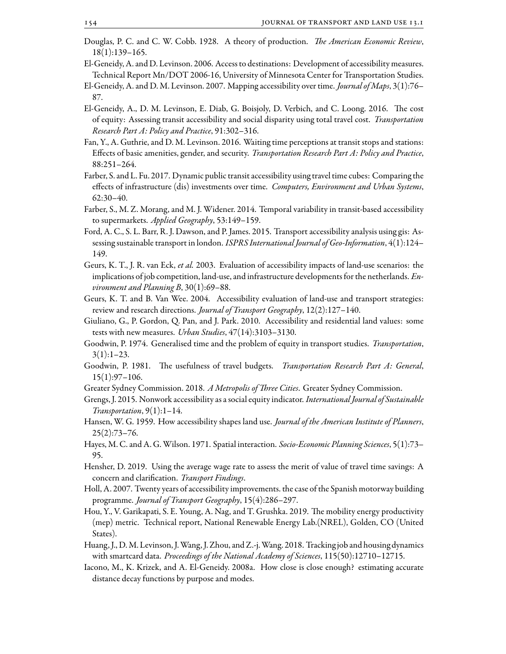- <span id="page-25-20"></span>Douglas, P. C. and C. W. Cobb. 1928. A theory of production. *The American Economic Review*, 18(1):139–165.
- <span id="page-25-0"></span>El-Geneidy, A. and D. Levinson. 2006. Access to destinations: Development of accessibility measures. Technical Report Mn/DOT 2006-16, University of Minnesota Center for Transportation Studies.
- <span id="page-25-11"></span>El-Geneidy, A. and D. M. Levinson. 2007. Mapping accessibility over time. *Journal of Maps*, 3(1):76– 87.
- <span id="page-25-5"></span>El-Geneidy, A., D. M. Levinson, E. Diab, G. Boisjoly, D. Verbich, and C. Loong. 2016. The cost of equity: Assessing transit accessibility and social disparity using total travel cost. *Transportation Research Part A: Policy and Practice*, 91:302–316.
- <span id="page-25-7"></span>Fan, Y., A. Guthrie, and D. M. Levinson. 2016. Waiting time perceptions at transit stops and stations: Effects of basic amenities, gender, and security. *Transportation Research Part A: Policy and Practice*, 88:251–264.
- <span id="page-25-17"></span>Farber, S. and L. Fu. 2017. Dynamic public transit accessibility using travel time cubes: Comparing the effects of infrastructure (dis) investments over time. *Computers, Environment and Urban Systems*, 62:30–40.
- <span id="page-25-6"></span>Farber, S., M. Z. Morang, and M. J. Widener. 2014. Temporal variability in transit-based accessibility to supermarkets. *Applied Geography*, 53:149–159.
- <span id="page-25-16"></span>Ford, A. C., S. L. Barr, R. J. Dawson, and P. James. 2015. Transport accessibility analysis using gis: Assessing sustainable transport in london. *ISPRS International Journal of Geo-Information*, 4(1):124– 149.
- <span id="page-25-4"></span>Geurs, K. T., J. R. van Eck, *et al.* 2003. Evaluation of accessibility impacts of land-use scenarios: the implications of job competition, land-use, and infrastructure developments for the netherlands. *Environment and Planning B*, 30(1):69–88.
- <span id="page-25-1"></span>Geurs, K. T. and B. Van Wee. 2004. Accessibility evaluation of land-use and transport strategies: review and research directions. *Journal of Transport Geography*, 12(2):127–140.
- <span id="page-25-21"></span>Giuliano, G., P. Gordon, Q. Pan, and J. Park. 2010. Accessibility and residential land values: some tests with new measures. *Urban Studies*, 47(14):3103–3130.
- <span id="page-25-9"></span>Goodwin, P. 1974. Generalised time and the problem of equity in transport studies. *Transportation*,  $3(1):1-23.$
- <span id="page-25-13"></span>Goodwin, P. 1981. The usefulness of travel budgets. *Transportation Research Part A: General*, 15(1):97–106.
- <span id="page-25-3"></span>Greater Sydney Commission. 2018. *A Metropolis of Three Cities*. Greater Sydney Commission.
- <span id="page-25-12"></span>Grengs, J. 2015. Nonwork accessibility as a social equity indicator. *International Journal of Sustainable Transportation*, 9(1):1–14.
- <span id="page-25-2"></span>Hansen, W. G. 1959. How accessibility shapes land use. *Journal of the American Institute of Planners*, 25(2):73–76.
- <span id="page-25-15"></span>Hayes, M. C. and A. G.Wilson. 1971. Spatial interaction. *Socio-Economic Planning Sciences*, 5(1):73– 95.
- <span id="page-25-10"></span>Hensher, D. 2019. Using the average wage rate to assess the merit of value of travel time savings: A concern and clarification. *Transport Findings*.
- <span id="page-25-18"></span>Holl, A. 2007. Twenty years of accessibility improvements. the case of the Spanish motorway building programme. *Journal of Transport Geography*, 15(4):286–297.
- <span id="page-25-19"></span>Hou, Y., V. Garikapati, S. E. Young, A. Nag, and T. Grushka. 2019. The mobility energy productivity (mep) metric. Technical report, National Renewable Energy Lab.(NREL), Golden, CO (United States).
- <span id="page-25-14"></span>Huang, J., D.M. Levinson, J.Wang, J. Zhou, and Z.-j.Wang. 2018. Tracking job and housing dynamics with smartcard data. *Proceedings of the National Academy of Sciences*, 115(50):12710–12715.
- <span id="page-25-8"></span>Iacono, M., K. Krizek, and A. El-Geneidy. 2008a. How close is close enough? estimating accurate distance decay functions by purpose and modes.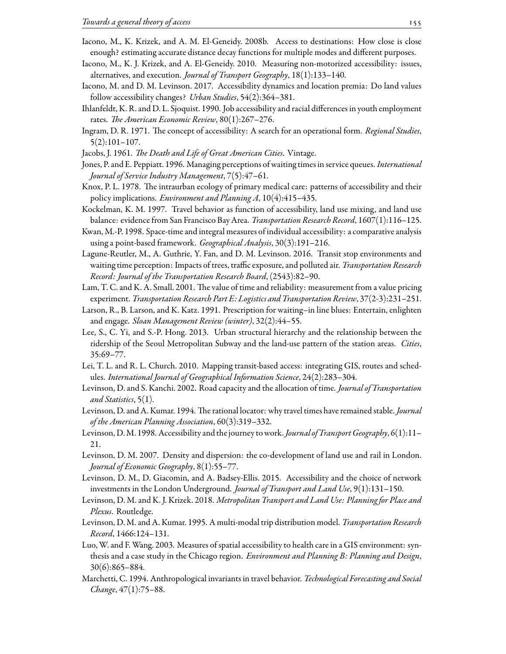- <span id="page-26-17"></span>Iacono, M., K. Krizek, and A. M. El-Geneidy. 2008b. Access to destinations: How close is close enough? estimating accurate distance decay functions for multiple modes and different purposes.
- <span id="page-26-13"></span>Iacono, M., K. J. Krizek, and A. El-Geneidy. 2010. Measuring non-motorized accessibility: issues, alternatives, and execution. *Journal of Transport Geography*, 18(1):133–140.
- <span id="page-26-3"></span>Iacono, M. and D. M. Levinson. 2017. Accessibility dynamics and location premia: Do land values follow accessibility changes? *Urban Studies*, 54(2):364–381.
- <span id="page-26-1"></span>Ihlanfeldt, K. R. and D. L. Sjoquist. 1990. Job accessibility and racial differences in youth employment rates. *The American Economic Review*, 80(1):267–276.
- <span id="page-26-11"></span>Ingram, D. R. 1971. The concept of accessibility: A search for an operational form. *Regional Studies*, 5(2):101–107.
- <span id="page-26-23"></span>Jacobs, J. 1961. *The Death and Life of Great American Cities*. Vintage.
- <span id="page-26-9"></span>Jones, P. and E. Peppiatt. 1996. Managing perceptions of waiting times in service queues. *International Journal of Service Industry Management*, 7(5):47–61.
- <span id="page-26-19"></span>Knox, P. L. 1978. The intraurban ecology of primary medical care: patterns of accessibility and their policy implications. *Environment and Planning A*, 10(4):415–435.
- <span id="page-26-2"></span>Kockelman, K. M. 1997. Travel behavior as function of accessibility, land use mixing, and land use balance: evidence from San Francisco Bay Area. *Transportation Research Record*, 1607(1):116–125.
- <span id="page-26-16"></span>Kwan, M.-P. 1998. Space-time and integral measures of individual accessibility: a comparative analysis using a point-based framework. *Geographical Analysis*, 30(3):191–216.
- <span id="page-26-8"></span>Lagune-Reutler, M., A. Guthrie, Y. Fan, and D. M. Levinson. 2016. Transit stop environments and waiting time perception: Impacts of trees, traffic exposure, and polluted air. *Transportation Research Record: Journal of the Transportation Research Board*, (2543):82–90.
- <span id="page-26-12"></span>Lam, T. C. and K. A. Small. 2001. The value of time and reliability: measurement from a value pricing experiment. *Transportation Research Part E: Logistics and Transportation Review*, 37(2-3):231–251.
- <span id="page-26-10"></span>Larson, R., B. Larson, and K. Katz. 1991. Prescription for waiting–in line blues: Entertain, enlighten and engage. *Sloan Management Review (winter)*, 32(2):44–55.
- <span id="page-26-7"></span>Lee, S., C. Yi, and S.-P. Hong. 2013. Urban structural hierarchy and the relationship between the ridership of the Seoul Metropolitan Subway and the land-use pattern of the station areas. *Cities*, 35:69–77.
- <span id="page-26-6"></span>Lei, T. L. and R. L. Church. 2010. Mapping transit-based access: integrating GIS, routes and schedules. *International Journal of Geographical Information Science*, 24(2):283–304.
- <span id="page-26-20"></span>Levinson, D. and S. Kanchi. 2002. Road capacity and the allocation of time. *Journal of Transportation and Statistics*, 5(1).
- <span id="page-26-14"></span>Levinson, D. and A. Kumar. 1994. The rational locator: why travel times have remained stable. *Journal of the American Planning Association*, 60(3):319–332.
- <span id="page-26-0"></span>Levinson, D.M. 1998. Accessibility and the journey to work. *Journal of TransportGeography*, 6(1):11– 21.
- <span id="page-26-4"></span>Levinson, D. M. 2007. Density and dispersion: the co-development of land use and rail in London. *Journal of Economic Geography*, 8(1):55–77.
- <span id="page-26-5"></span>Levinson, D. M., D. Giacomin, and A. Badsey-Ellis. 2015. Accessibility and the choice of network investments in the London Underground. *Journal of Transport and Land Use*, 9(1):131–150.
- <span id="page-26-22"></span>Levinson, D. M. and K. J. Krizek. 2018. *Metropolitan Transport and Land Use: Planning for Place and Plexus*. Routledge.
- <span id="page-26-18"></span>Levinson, D. M. and A. Kumar. 1995. A multi-modal trip distribution model. *Transportation Research Record*, 1466:124–131.
- <span id="page-26-21"></span>Luo, W. and F. Wang. 2003. Measures of spatial accessibility to health care in a GIS environment: synthesis and a case study in the Chicago region. *Environment and Planning B: Planning and Design*, 30(6):865–884.
- <span id="page-26-15"></span>Marchetti, C. 1994. Anthropological invariants in travel behavior. *Technological Forecasting and Social Change*, 47(1):75–88.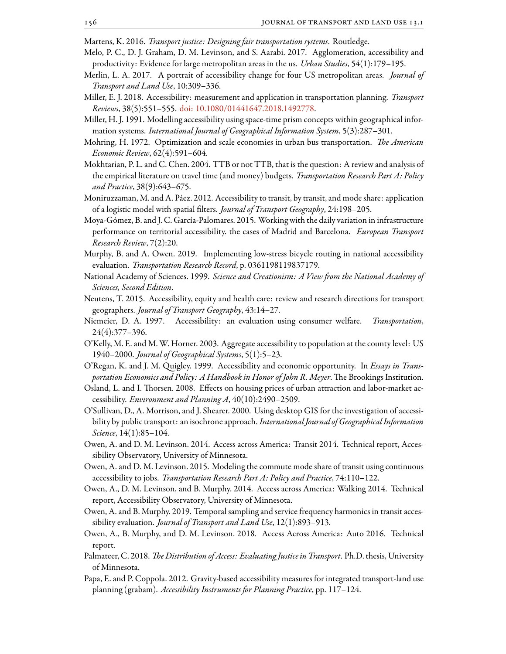<span id="page-27-20"></span><span id="page-27-3"></span>Martens, K. 2016. *Transport justice: Designing fair transportation systems*. Routledge.

- Melo, P. C., D. J. Graham, D. M. Levinson, and S. Aarabi. 2017. Agglomeration, accessibility and productivity: Evidence for large metropolitan areas in the us. *Urban Studies*, 54(1):179–195.
- <span id="page-27-22"></span>Merlin, L. A. 2017. A portrait of accessibility change for four US metropolitan areas. *Journal of Transport and Land Use*, 10:309–336.
- <span id="page-27-5"></span>Miller, E. J. 2018. Accessibility: measurement and application in transportation planning. *Transport Reviews*, 38(5):551–555. [doi: 10.1080/01441647.2018.1492778](http://dx.doi.org/10.1080/01441647.2018.1492778).
- <span id="page-27-7"></span>Miller, H. J. 1991. Modelling accessibility using space-time prism concepts within geographical information systems. *International Journal of Geographical Information System*, 5(3):287–301.
- <span id="page-27-23"></span>Mohring, H. 1972. Optimization and scale economies in urban bus transportation. *The American Economic Review*, 62(4):591–604.
- <span id="page-27-12"></span>Mokhtarian, P. L. and C. Chen. 2004. TTB or not TTB, that is the question: A review and analysis of the empirical literature on travel time (and money) budgets. *Transportation Research Part A: Policy and Practice*, 38(9):643–675.
- <span id="page-27-1"></span>Moniruzzaman, M. and A. Páez. 2012. Accessibility to transit, by transit, and mode share: application of a logistic model with spatial filters. *Journal of Transport Geography*, 24:198–205.
- <span id="page-27-9"></span>Moya-Gómez, B. and J. C. García-Palomares. 2015. Working with the daily variation in infrastructure performance on territorial accessibility. the cases of Madrid and Barcelona. *European Transport Research Review*, 7(2):20.
- <span id="page-27-16"></span>Murphy, B. and A. Owen. 2019. Implementing low-stress bicycle routing in national accessibility evaluation. *Transportation Research Record*, p. 0361198119837179.
- <span id="page-27-4"></span>National Academy of Sciences. 1999. *Science and Creationism: A View om the National Academy of Sciences, Second Edition*.
- <span id="page-27-11"></span>Neutens, T. 2015. Accessibility, equity and health care: review and research directions for transport geographers. *Journal of Transport Geography*, 43:14–27.
- <span id="page-27-6"></span>Niemeier, D. A. 1997. Accessibility: an evaluation using consumer welfare. *Transportation*, 24(4):377–396.
- <span id="page-27-15"></span>O'Kelly, M. E. and M. W. Horner. 2003. Aggregate accessibility to population at the county level: US 1940–2000. *Journal of Geographical Systems*, 5(1):5–23.
- <span id="page-27-0"></span>O'Regan, K. and J. M. Quigley. 1999. Accessibility and economic opportunity. In *Essays in Transportation Economics and Policy: A Handbook in Honor of John R. Meyer*. The Brookings Institution.
- <span id="page-27-10"></span>Osland, L. and I. Thorsen. 2008. Effects on housing prices of urban attraction and labor-market accessibility. *Environment and Planning A*, 40(10):2490–2509.
- <span id="page-27-13"></span>O'Sullivan, D., A. Morrison, and J. Shearer. 2000. Using desktop GIS for the investigation of accessibility by public transport: an isochrone approach. *International Journal of Geographical Information Science*, 14(1):85–104.
- <span id="page-27-17"></span>Owen, A. and D. M. Levinson. 2014. Access across America: Transit 2014. Technical report, Accessibility Observatory, University of Minnesota.
- <span id="page-27-2"></span>Owen, A. and D. M. Levinson. 2015. Modeling the commute mode share of transit using continuous accessibility to jobs. *Transportation Research Part A: Policy and Practice*, 74:110–122.
- <span id="page-27-18"></span>Owen, A., D. M. Levinson, and B. Murphy. 2014. Access across America: Walking 2014. Technical report, Accessibility Observatory, University of Minnesota.
- <span id="page-27-14"></span>Owen, A. and B. Murphy. 2019. Temporal sampling and service frequency harmonics in transit accessibility evaluation. *Journal of Transport and Land Use*, 12(1):893–913.
- <span id="page-27-19"></span>Owen, A., B. Murphy, and D. M. Levinson. 2018. Access Across America: Auto 2016. Technical report.
- <span id="page-27-21"></span>Palmateer, C. 2018. *The Distribution of Access: Evaluating Justice in Transport*. Ph.D. thesis, University of Minnesota.
- <span id="page-27-8"></span>Papa, E. and P. Coppola. 2012. Gravity-based accessibility measures for integrated transport-land use planning (grabam). *Accessibility Instruments for Planning Practice*, pp. 117–124.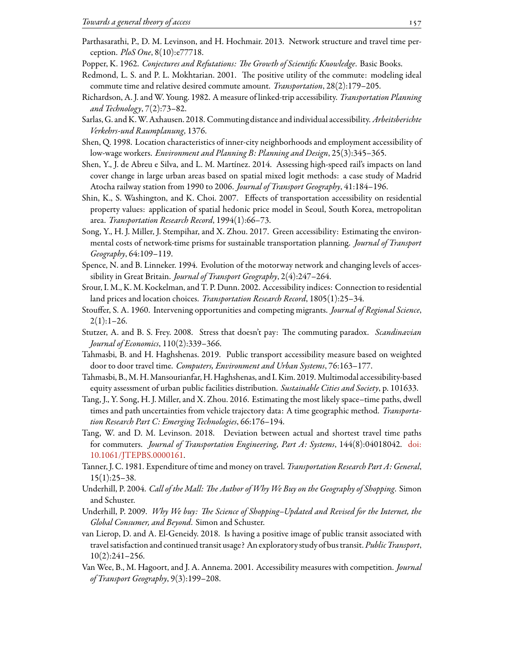- <span id="page-28-8"></span>Parthasarathi, P., D. M. Levinson, and H. Hochmair. 2013. Network structure and travel time perception. *PloS One*, 8(10):e77718.
- <span id="page-28-5"></span>Popper, K. 1962. *Conjectures and Refutations: The Growth of Scientific Knowledge*. Basic Books.
- <span id="page-28-16"></span>Redmond, L. S. and P. L. Mokhtarian. 2001. The positive utility of the commute: modeling ideal commute time and relative desired commute amount. *Transportation*, 28(2):179–205.
- <span id="page-28-12"></span>Richardson, A. J. and W. Young. 1982. A measure of linked-trip accessibility. *Transportation Planning and Technology*, 7(2):73–82.
- <span id="page-28-14"></span>Sarlas, G. and K.W. Axhausen. 2018. Commuting distance and individual accessibility. *Arbeitsberichte Verkehrs-und Raumplanung*, 1376.
- <span id="page-28-2"></span>Shen, Q. 1998. Location characteristics of inner-city neighborhoods and employment accessibility of low-wage workers. *Environment and Planning B: Planning and Design*, 25(3):345–365.
- <span id="page-28-7"></span>Shen, Y., J. de Abreu e Silva, and L. M. Martínez. 2014. Assessing high-speed rail's impacts on land cover change in large urban areas based on spatial mixed logit methods: a case study of Madrid Atocha railway station from 1990 to 2006. *Journal of Transport Geography*, 41:184–196.
- <span id="page-28-3"></span>Shin, K., S. Washington, and K. Choi. 2007. Effects of transportation accessibility on residential property values: application of spatial hedonic price model in Seoul, South Korea, metropolitan area. *Transportation Research Record*, 1994(1):66–73.
- <span id="page-28-18"></span>Song, Y., H. J. Miller, J. Stempihar, and X. Zhou. 2017. Green accessibility: Estimating the environmental costs of network-time prisms for sustainable transportation planning. *Journal of Transport Geography*, 64:109–119.
- <span id="page-28-19"></span>Spence, N. and B. Linneker. 1994. Evolution of the motorway network and changing levels of accessibility in Great Britain. *Journal of Transport Geography*, 2(4):247–264.
- <span id="page-28-4"></span>Srour, I. M., K. M. Kockelman, and T. P. Dunn. 2002. Accessibility indices: Connection to residential land prices and location choices. *Transportation Research Record*, 1805(1):25–34.
- <span id="page-28-21"></span>Stouffer, S. A. 1960. Intervening opportunities and competing migrants. *Journal of Regional Science*,  $2(1):1-26.$
- <span id="page-28-10"></span>Stutzer, A. and B. S. Frey. 2008. Stress that doesn't pay: The commuting paradox. *Scandinavian Journal of Economics*, 110(2):339–366.
- <span id="page-28-9"></span>Tahmasbi, B. and H. Haghshenas. 2019. Public transport accessibility measure based on weighted door to door travel time. *Computers, Environment and Urban Systems*, 76:163–177.
- <span id="page-28-17"></span>Tahmasbi, B.,M. H.Mansourianfar, H.Haghshenas, and I.Kim. 2019. Multimodal accessibility-based equity assessment of urban public facilities distribution. *Sustainable Cities and Society*, p. 101633.
- <span id="page-28-6"></span>Tang, J., Y. Song, H. J. Miller, and X. Zhou. 2016. Estimating the most likely space–time paths, dwell times and path uncertainties from vehicle trajectory data: A time geographic method. *Transportation Research Part C: Emerging Technologies*, 66:176–194.
- <span id="page-28-13"></span>Tang, W. and D. M. Levinson. 2018. Deviation between actual and shortest travel time paths for commuters. *Journal of Transportation Engineering, Part A: Systems*, 144(8):04018042. [doi:](http://dx.doi.org/10.1061/JTEPBS.0000161) [10.1061/JTEPBS.0000161](http://dx.doi.org/10.1061/JTEPBS.0000161).
- <span id="page-28-15"></span>Tanner, J. C. 1981. Expenditure of time and money on travel. *Transportation Research Part A: General*, 15(1):25–38.
- <span id="page-28-0"></span>Underhill, P. 2004. *Call of the Mall: The Author of Why We Buy on the Geography of Shopping*. Simon and Schuster.
- <span id="page-28-1"></span>Underhill, P. 2009. *Why We buy: The Science of Shopping–Updated and Revised for the Internet, the Global Consumer, and Beyond*. Simon and Schuster.
- <span id="page-28-11"></span>van Lierop, D. and A. El-Geneidy. 2018. Is having a positive image of public transit associated with travel satisfaction and continued transit usage? An exploratory study of bus transit. *Public Transport*, 10(2):241–256.
- <span id="page-28-20"></span>Van Wee, B., M. Hagoort, and J. A. Annema. 2001. Accessibility measures with competition. *Journal of Transport Geography*, 9(3):199–208.